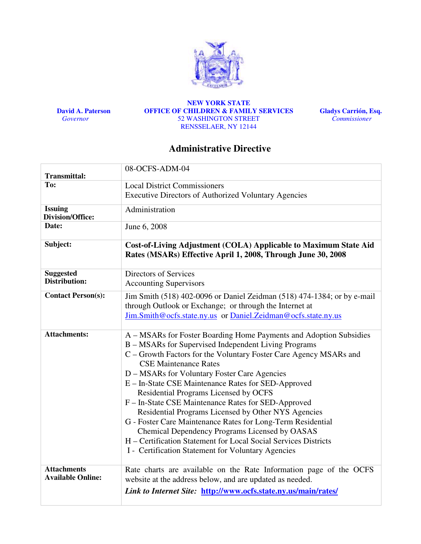

 David A. Paterson **Governor** 

#### NEW YORK STATE OFFICE OF CHILDREN & FAMILY SERVICES 52 WASHINGTON STREET RENSSELAER, NY 12144

Gladys Carrión, Esq. Commissioner

# Administrative Directive

|                                                | 08-OCFS-ADM-04                                                                                                                                                                                                                                                                                                                                                                                                                                                                                                                                                                                                                                                                                                                          |
|------------------------------------------------|-----------------------------------------------------------------------------------------------------------------------------------------------------------------------------------------------------------------------------------------------------------------------------------------------------------------------------------------------------------------------------------------------------------------------------------------------------------------------------------------------------------------------------------------------------------------------------------------------------------------------------------------------------------------------------------------------------------------------------------------|
| <b>Transmittal:</b>                            |                                                                                                                                                                                                                                                                                                                                                                                                                                                                                                                                                                                                                                                                                                                                         |
| To:                                            | <b>Local District Commissioners</b>                                                                                                                                                                                                                                                                                                                                                                                                                                                                                                                                                                                                                                                                                                     |
|                                                | <b>Executive Directors of Authorized Voluntary Agencies</b>                                                                                                                                                                                                                                                                                                                                                                                                                                                                                                                                                                                                                                                                             |
| <b>Issuing</b><br><b>Division/Office:</b>      | Administration                                                                                                                                                                                                                                                                                                                                                                                                                                                                                                                                                                                                                                                                                                                          |
| Date:                                          | June 6, 2008                                                                                                                                                                                                                                                                                                                                                                                                                                                                                                                                                                                                                                                                                                                            |
| Subject:                                       | Cost-of-Living Adjustment (COLA) Applicable to Maximum State Aid<br>Rates (MSARs) Effective April 1, 2008, Through June 30, 2008                                                                                                                                                                                                                                                                                                                                                                                                                                                                                                                                                                                                        |
| <b>Suggested</b>                               | Directors of Services                                                                                                                                                                                                                                                                                                                                                                                                                                                                                                                                                                                                                                                                                                                   |
| <b>Distribution:</b>                           | <b>Accounting Supervisors</b>                                                                                                                                                                                                                                                                                                                                                                                                                                                                                                                                                                                                                                                                                                           |
| <b>Contact Person(s):</b>                      | Jim Smith (518) 402-0096 or Daniel Zeidman (518) 474-1384; or by e-mail<br>through Outlook or Exchange; or through the Internet at<br>Jim.Smith@ocfs.state.ny.us or Daniel.Zeidman@ocfs.state.ny.us                                                                                                                                                                                                                                                                                                                                                                                                                                                                                                                                     |
| <b>Attachments:</b>                            | A – MSARs for Foster Boarding Home Payments and Adoption Subsidies<br>B – MSARs for Supervised Independent Living Programs<br>C - Growth Factors for the Voluntary Foster Care Agency MSARs and<br><b>CSE Maintenance Rates</b><br>D - MSARs for Voluntary Foster Care Agencies<br>E - In-State CSE Maintenance Rates for SED-Approved<br>Residential Programs Licensed by OCFS<br>F - In-State CSE Maintenance Rates for SED-Approved<br>Residential Programs Licensed by Other NYS Agencies<br>G - Foster Care Maintenance Rates for Long-Term Residential<br>Chemical Dependency Programs Licensed by OASAS<br>H – Certification Statement for Local Social Services Districts<br>I - Certification Statement for Voluntary Agencies |
| <b>Attachments</b><br><b>Available Online:</b> | Rate charts are available on the Rate Information page of the OCFS<br>website at the address below, and are updated as needed.<br>Link to Internet Site: http://www.ocfs.state.ny.us/main/rates/                                                                                                                                                                                                                                                                                                                                                                                                                                                                                                                                        |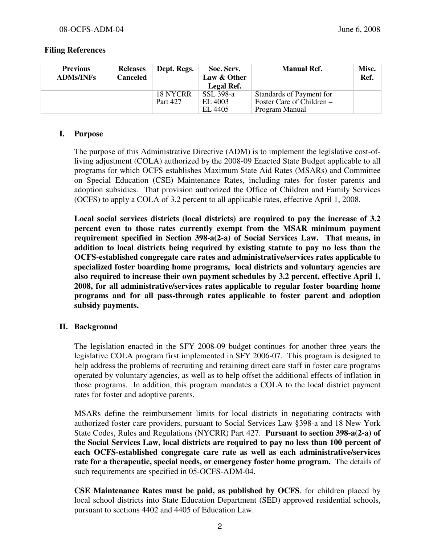## Filing References

| <b>Previous</b><br><b>ADMs/INFs</b> | <b>Releases</b><br><b>Canceled</b> | Dept. Regs.          | Soc. Serv.<br>Law & Other<br>Legal Ref. | <b>Manual Ref.</b>                                                      | Misc.<br>Ref. |
|-------------------------------------|------------------------------------|----------------------|-----------------------------------------|-------------------------------------------------------------------------|---------------|
|                                     |                                    | 18 NYCRR<br>Part 427 | SSL 398-a<br>EL 4003<br>EL 4405         | Standards of Payment for<br>Foster Care of Children –<br>Program Manual |               |

## I. Purpose

The purpose of this Administrative Directive (ADM) is to implement the legislative cost-ofliving adjustment (COLA) authorized by the 2008-09 Enacted State Budget applicable to all programs for which OCFS establishes Maximum State Aid Rates (MSARs) and Committee on Special Education (CSE) Maintenance Rates, including rates for foster parents and adoption subsidies. That provision authorized the Office of Children and Family Services (OCFS) to apply a COLA of 3.2 percent to all applicable rates, effective April 1, 2008.

Local social services districts (local districts) are required to pay the increase of 3.2 percent even to those rates currently exempt from the MSAR minimum payment requirement specified in Section 398-a(2-a) of Social Services Law. That means, in addition to local districts being required by existing statute to pay no less than the OCFS-established congregate care rates and administrative/services rates applicable to specialized foster boarding home programs, local districts and voluntary agencies are also required to increase their own payment schedules by 3.2 percent, effective April 1, 2008, for all administrative/services rates applicable to regular foster boarding home programs and for all pass-through rates applicable to foster parent and adoption subsidy payments.

## II. Background

The legislation enacted in the SFY 2008-09 budget continues for another three years the legislative COLA program first implemented in SFY 2006-07. This program is designed to help address the problems of recruiting and retaining direct care staff in foster care programs operated by voluntary agencies, as well as to help offset the additional effects of inflation in those programs. In addition, this program mandates a COLA to the local district payment rates for foster and adoptive parents.

MSARs define the reimbursement limits for local districts in negotiating contracts with authorized foster care providers, pursuant to Social Services Law §398-a and 18 New York State Codes, Rules and Regulations (NYCRR) Part 427. Pursuant to section 398-a(2-a) of the Social Services Law, local districts are required to pay no less than 100 percent of each OCFS-established congregate care rate as well as each administrative/services rate for a therapeutic, special needs, or emergency foster home program. The details of such requirements are specified in 05-OCFS-ADM-04.

CSE Maintenance Rates must be paid, as published by OCFS, for children placed by local school districts into State Education Department (SED) approved residential schools, pursuant to sections 4402 and 4405 of Education Law.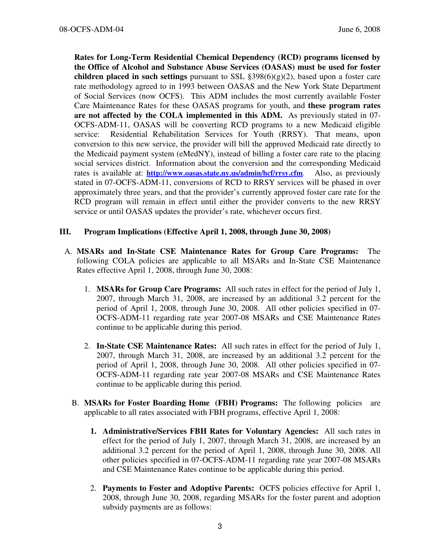Rates for Long-Term Residential Chemical Dependency (RCD) programs licensed by the Office of Alcohol and Substance Abuse Services (OASAS) must be used for foster children placed in such settings pursuant to SSL  $\S 398(6)(g)(2)$ , based upon a foster care rate methodology agreed to in 1993 between OASAS and the New York State Department of Social Services (now OCFS). This ADM includes the most currently available Foster Care Maintenance Rates for these OASAS programs for youth, and these program rates are not affected by the COLA implemented in this ADM. As previously stated in 07- OCFS-ADM-11, OASAS will be converting RCD programs to a new Medicaid eligible service: Residential Rehabilitation Services for Youth (RRSY). That means, upon conversion to this new service, the provider will bill the approved Medicaid rate directly to the Medicaid payment system (eMedNY), instead of billing a foster care rate to the placing social services district. Information about the conversion and the corresponding Medicaid rates is available at: http://www.oasas.state.ny.us/admin/hcf/rrsy.cfm. Also, as previously stated in 07-OCFS-ADM-11, conversions of RCD to RRSY services will be phased in over approximately three years, and that the provider's currently approved foster care rate for the RCD program will remain in effect until either the provider converts to the new RRSY service or until OASAS updates the provider's rate, whichever occurs first.

## III. Program Implications (Effective April 1, 2008, through June 30, 2008)

- A. MSARs and In-State CSE Maintenance Rates for Group Care Programs: The following COLA policies are applicable to all MSARs and In-State CSE Maintenance Rates effective April 1, 2008, through June 30, 2008:
	- 1. MSARs for Group Care Programs: All such rates in effect for the period of July 1, 2007, through March 31, 2008, are increased by an additional 3.2 percent for the period of April 1, 2008, through June 30, 2008. All other policies specified in 07- OCFS-ADM-11 regarding rate year 2007-08 MSARs and CSE Maintenance Rates continue to be applicable during this period.
	- 2. In-State CSE Maintenance Rates: All such rates in effect for the period of July 1, 2007, through March 31, 2008, are increased by an additional 3.2 percent for the period of April 1, 2008, through June 30, 2008. All other policies specified in 07- OCFS-ADM-11 regarding rate year 2007-08 MSARs and CSE Maintenance Rates continue to be applicable during this period.
	- B. MSARs for Foster Boarding Home (FBH) Programs: The following policies are applicable to all rates associated with FBH programs, effective April 1, 2008:
		- 1. Administrative/Services FBH Rates for Voluntary Agencies: All such rates in effect for the period of July 1, 2007, through March 31, 2008, are increased by an additional 3.2 percent for the period of April 1, 2008, through June 30, 2008. All other policies specified in 07-OCFS-ADM-11 regarding rate year 2007-08 MSARs and CSE Maintenance Rates continue to be applicable during this period.
		- 2. Payments to Foster and Adoptive Parents: OCFS policies effective for April 1, 2008, through June 30, 2008, regarding MSARs for the foster parent and adoption subsidy payments are as follows: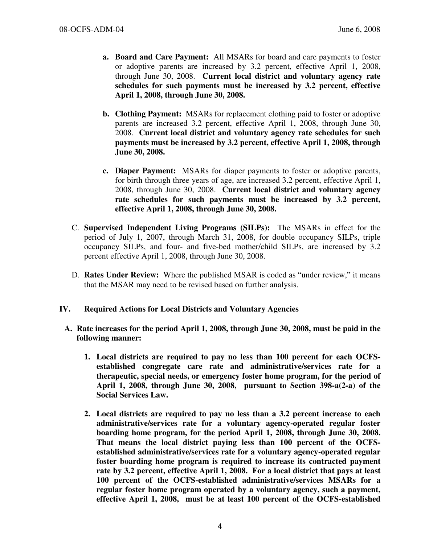- a. Board and Care Payment: All MSARs for board and care payments to foster or adoptive parents are increased by 3.2 percent, effective April 1, 2008, through June 30, 2008. Current local district and voluntary agency rate schedules for such payments must be increased by 3.2 percent, effective April 1, 2008, through June 30, 2008.
- b. Clothing Payment: MSARs for replacement clothing paid to foster or adoptive parents are increased 3.2 percent, effective April 1, 2008, through June 30, 2008. Current local district and voluntary agency rate schedules for such payments must be increased by 3.2 percent, effective April 1, 2008, through June 30, 2008.
- c. Diaper Payment: MSARs for diaper payments to foster or adoptive parents, for birth through three years of age, are increased 3.2 percent, effective April 1, 2008, through June 30, 2008. Current local district and voluntary agency rate schedules for such payments must be increased by 3.2 percent, effective April 1, 2008, through June 30, 2008.
- C. Supervised Independent Living Programs (SILPs): The MSARs in effect for the period of July 1, 2007, through March 31, 2008, for double occupancy SILPs, triple occupancy SILPs, and four- and five-bed mother/child SILPs, are increased by 3.2 percent effective April 1, 2008, through June 30, 2008.
- D. Rates Under Review: Where the published MSAR is coded as "under review," it means that the MSAR may need to be revised based on further analysis.

## IV. Required Actions for Local Districts and Voluntary Agencies

- A. Rate increases for the period April 1, 2008, through June 30, 2008, must be paid in the following manner:
	- 1. Local districts are required to pay no less than 100 percent for each OCFSestablished congregate care rate and administrative/services rate for a therapeutic, special needs, or emergency foster home program, for the period of April 1, 2008, through June 30, 2008, pursuant to Section 398-a(2-a) of the Social Services Law.
	- 2. Local districts are required to pay no less than a 3.2 percent increase to each administrative/services rate for a voluntary agency-operated regular foster boarding home program, for the period April 1, 2008, through June 30, 2008. That means the local district paying less than 100 percent of the OCFSestablished administrative/services rate for a voluntary agency-operated regular foster boarding home program is required to increase its contracted payment rate by 3.2 percent, effective April 1, 2008. For a local district that pays at least 100 percent of the OCFS-established administrative/services MSARs for a regular foster home program operated by a voluntary agency, such a payment, effective April 1, 2008, must be at least 100 percent of the OCFS-established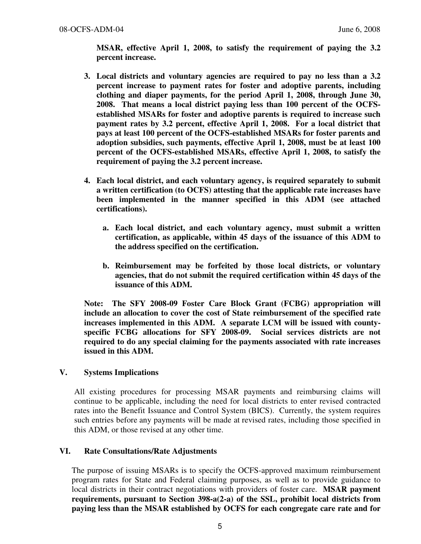MSAR, effective April 1, 2008, to satisfy the requirement of paying the 3.2 percent increase.

- 3. Local districts and voluntary agencies are required to pay no less than a 3.2 percent increase to payment rates for foster and adoptive parents, including clothing and diaper payments, for the period April 1, 2008, through June 30, 2008. That means a local district paying less than 100 percent of the OCFSestablished MSARs for foster and adoptive parents is required to increase such payment rates by 3.2 percent, effective April 1, 2008. For a local district that pays at least 100 percent of the OCFS-established MSARs for foster parents and adoption subsidies, such payments, effective April 1, 2008, must be at least 100 percent of the OCFS-established MSARs, effective April 1, 2008, to satisfy the requirement of paying the 3.2 percent increase.
- 4. Each local district, and each voluntary agency, is required separately to submit a written certification (to OCFS) attesting that the applicable rate increases have been implemented in the manner specified in this ADM (see attached certifications).
	- a. Each local district, and each voluntary agency, must submit a written certification, as applicable, within 45 days of the issuance of this ADM to the address specified on the certification.
	- b. Reimbursement may be forfeited by those local districts, or voluntary agencies, that do not submit the required certification within 45 days of the issuance of this ADM.

Note: The SFY 2008-09 Foster Care Block Grant (FCBG) appropriation will include an allocation to cover the cost of State reimbursement of the specified rate increases implemented in this ADM. A separate LCM will be issued with countyspecific FCBG allocations for SFY 2008-09. Social services districts are not required to do any special claiming for the payments associated with rate increases issued in this ADM.

## V. Systems Implications

All existing procedures for processing MSAR payments and reimbursing claims will continue to be applicable, including the need for local districts to enter revised contracted rates into the Benefit Issuance and Control System (BICS). Currently, the system requires such entries before any payments will be made at revised rates, including those specified in this ADM, or those revised at any other time.

## VI. Rate Consultations/Rate Adjustments

The purpose of issuing MSARs is to specify the OCFS-approved maximum reimbursement program rates for State and Federal claiming purposes, as well as to provide guidance to local districts in their contract negotiations with providers of foster care. MSAR payment requirements, pursuant to Section 398-a(2-a) of the SSL, prohibit local districts from paying less than the MSAR established by OCFS for each congregate care rate and for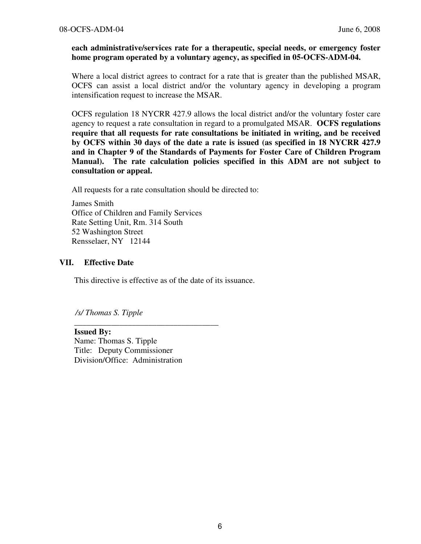### each administrative/services rate for a therapeutic, special needs, or emergency foster home program operated by a voluntary agency, as specified in 05-OCFS-ADM-04.

Where a local district agrees to contract for a rate that is greater than the published MSAR, OCFS can assist a local district and/or the voluntary agency in developing a program intensification request to increase the MSAR.

OCFS regulation 18 NYCRR 427.9 allows the local district and/or the voluntary foster care agency to request a rate consultation in regard to a promulgated MSAR. OCFS regulations require that all requests for rate consultations be initiated in writing, and be received by OCFS within 30 days of the date a rate is issued (as specified in 18 NYCRR 427.9 and in Chapter 9 of the Standards of Payments for Foster Care of Children Program Manual). The rate calculation policies specified in this ADM are not subject to consultation or appeal.

All requests for a rate consultation should be directed to:

James Smith Office of Children and Family Services Rate Setting Unit, Rm. 314 South 52 Washington Street Rensselaer, NY 12144

## VII. Effective Date

This directive is effective as of the date of its issuance.

/s/ Thomas S. Tipple

Issued By: Name: Thomas S. Tipple Title: Deputy Commissioner Division/Office: Administration

\_\_\_\_\_\_\_\_\_\_\_\_\_\_\_\_\_\_\_\_\_\_\_\_\_\_\_\_\_\_\_\_\_\_\_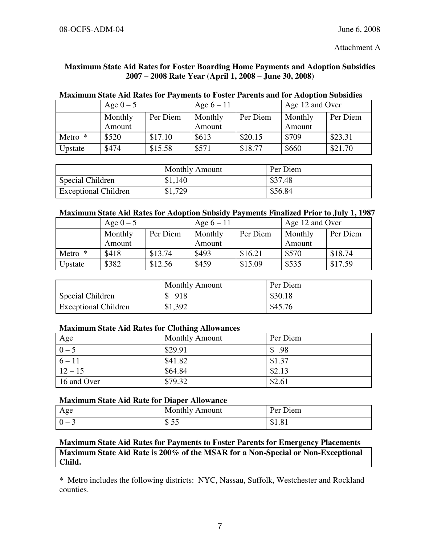Attachment A

## Maximum State Aid Rates for Foster Boarding Home Payments and Adoption Subsidies 2007 – 2008 Rate Year (April 1, 2008 – June 30, 2008)

|         | Age $0-5$         |          | Age $6-11$        |          | Age 12 and Over   |          |
|---------|-------------------|----------|-------------------|----------|-------------------|----------|
|         | Monthly<br>Amount | Per Diem | Monthly<br>Amount | Per Diem | Monthly<br>Amount | Per Diem |
| Metro * | \$520             | \$17.10  | \$613             | \$20.15  | \$709             | \$23.31  |
| Upstate | \$474             | \$15.58  | \$571             | \$18.77  | \$660             | \$21.70  |

## Maximum State Aid Rates for Payments to Foster Parents and for Adoption Subsidies

|                             | <b>Monthly Amount</b> | Per Diem |
|-----------------------------|-----------------------|----------|
| Special Children            | \$1,140               | \$37.48  |
| <b>Exceptional Children</b> | \$1,729               | \$56.84  |

### Maximum State Aid Rates for Adoption Subsidy Payments Finalized Prior to July 1, 1987

|           | Age $0-5$ |          | Age $6-11$ |          | Age 12 and Over |          |
|-----------|-----------|----------|------------|----------|-----------------|----------|
|           | Monthly   | Per Diem | Monthly    | Per Diem | Monthly         | Per Diem |
|           | Amount    |          | Amount     |          | Amount          |          |
| Metro $*$ | \$418     | \$13.74  | \$493      | \$16.21  | \$570           | \$18.74  |
| Upstate   | \$382     | \$12.56  | \$459      | \$15.09  | \$535           | \$17.59  |

|                             | <b>Monthly Amount</b> | Per Diem |
|-----------------------------|-----------------------|----------|
| Special Children            | \$918                 | \$30.18  |
| <b>Exceptional Children</b> | \$1,392               | \$45.76  |

### Maximum State Aid Rates for Clothing Allowances

| Age         | <b>Monthly Amount</b> | Per Diem |
|-------------|-----------------------|----------|
| $0 - 5$     | \$29.91               | \$.98    |
| $6 - 11$    | \$41.82               | \$1.37   |
| $12 - 15$   | \$64.84               | \$2.13   |
| 16 and Over | \$79.32               | \$2.61   |

## Maximum State Aid Rate for Diaper Allowance

| Age   | <b>Monthly Amount</b> | Per Diem |
|-------|-----------------------|----------|
| $0 -$ | <u>ል ድድ</u><br>O JJ   | 01.01    |

## Maximum State Aid Rates for Payments to Foster Parents for Emergency Placements Maximum State Aid Rate is 200% of the MSAR for a Non-Special or Non-Exceptional Child.

\* Metro includes the following districts: NYC, Nassau, Suffolk, Westchester and Rockland counties.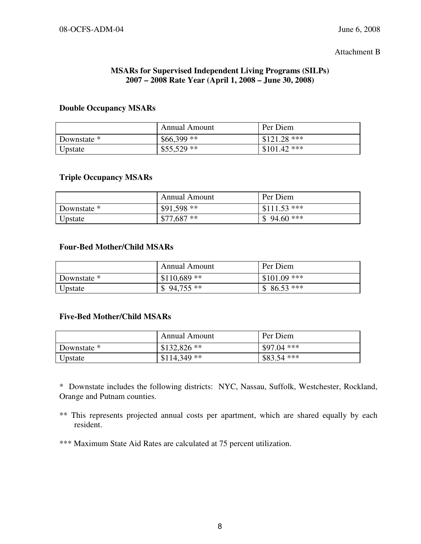#### Attachment B

## MSARs for Supervised Independent Living Programs (SILPs) 2007 – 2008 Rate Year (April 1, 2008 – June 30, 2008)

### Double Occupancy MSARs

|             | Annual Amount | Per Diem      |
|-------------|---------------|---------------|
| Downstate * | $$66,399**$   | $$121.28$ *** |
| Upstate     | $$55,529**$   | $$101.42$ *** |

## Triple Occupancy MSARs

|             | Annual Amount | Per Diem      |
|-------------|---------------|---------------|
| Downstate * | $$91,598**$   | $$111.53$ *** |
| Upstate     | $$77,687**$   | $$94.60***$   |

### Four-Bed Mother/Child MSARs

|             | <b>Annual Amount</b> | Per Diem      |
|-------------|----------------------|---------------|
| Downstate * | $$110,689$ **        | $$101.09$ *** |
| Upstate     | $$94,755**$          | $$86.53***$   |

### Five-Bed Mother/Child MSARs

|             | Annual Amount | Per Diem     |
|-------------|---------------|--------------|
| Downstate * | $$132,826**$  | $$97.04$ *** |
| Upstate     | $$114,349**$  | $$83.54$ *** |

\* Downstate includes the following districts: NYC, Nassau, Suffolk, Westchester, Rockland, Orange and Putnam counties.

- \*\* This represents projected annual costs per apartment, which are shared equally by each resident.
- \*\*\* Maximum State Aid Rates are calculated at 75 percent utilization.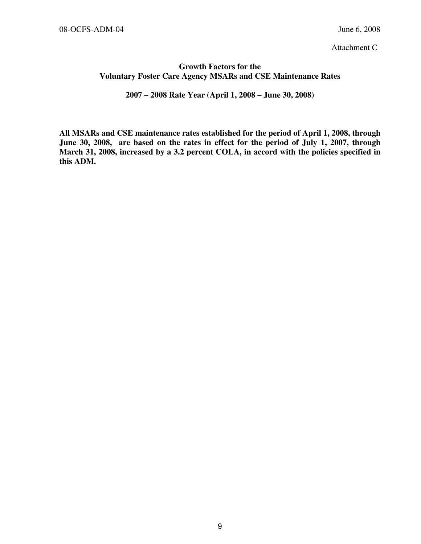Attachment C

## Growth Factors for the Voluntary Foster Care Agency MSARs and CSE Maintenance Rates

2007 – 2008 Rate Year (April 1, 2008 – June 30, 2008)

All MSARs and CSE maintenance rates established for the period of April 1, 2008, through June 30, 2008, are based on the rates in effect for the period of July 1, 2007, through March 31, 2008, increased by a 3.2 percent COLA, in accord with the policies specified in this ADM.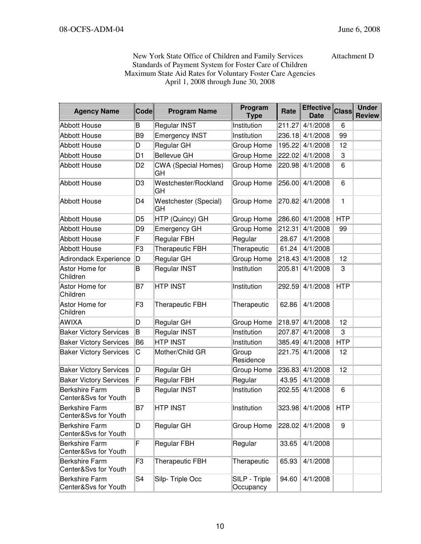New York State Office of Children and Family Services Attachment D Standards of Payment System for Foster Care of Children Maximum State Aid Rates for Voluntary Foster Care Agencies April 1, 2008 through June 30, 2008

| <b>Agency Name</b>                            | <b>Code</b>    | <b>Program Name</b>              | Program<br><b>Type</b>     | Rate   | <b>Effective</b><br><b>Date</b> | <b>Class</b> | <b>Under</b><br><b>Review</b> |
|-----------------------------------------------|----------------|----------------------------------|----------------------------|--------|---------------------------------|--------------|-------------------------------|
| <b>Abbott House</b>                           | B              | <b>Regular INST</b>              | Institution                | 211.27 | 4/1/2008                        | 6            |                               |
| <b>Abbott House</b>                           | B <sub>9</sub> | <b>Emergency INST</b>            | Institution                | 236.18 | 4/1/2008                        | 99           |                               |
| <b>Abbott House</b>                           | D              | Regular GH                       | Group Home                 | 195.22 | 4/1/2008                        | 12           |                               |
| <b>Abbott House</b>                           | D <sub>1</sub> | <b>Bellevue GH</b>               | Group Home                 | 222.02 | 4/1/2008                        | 3            |                               |
| <b>Abbott House</b>                           | D <sub>2</sub> | <b>CWA (Special Homes)</b><br>GН | Group Home                 | 220.98 | 4/1/2008                        | 6            |                               |
| <b>Abbott House</b>                           | D <sub>3</sub> | Westchester/Rockland<br>GH       | Group Home                 | 256.00 | 4/1/2008                        | 6            |                               |
| <b>Abbott House</b>                           | D4             | Westchester (Special)<br>GH      | Group Home                 | 270.82 | 4/1/2008                        | $\mathbf{1}$ |                               |
| <b>Abbott House</b>                           | D <sub>5</sub> | HTP (Quincy) GH                  | Group Home                 | 286.60 | 4/1/2008                        | <b>HTP</b>   |                               |
| <b>Abbott House</b>                           | D <sub>9</sub> | <b>Emergency GH</b>              | Group Home                 | 212.31 | 4/1/2008                        | 99           |                               |
| <b>Abbott House</b>                           | F              | <b>Regular FBH</b>               | Regular                    | 28.67  | 4/1/2008                        |              |                               |
| <b>Abbott House</b>                           | F <sub>3</sub> | Therapeutic FBH                  | Therapeutic                | 61.24  | 4/1/2008                        |              |                               |
| <b>Adirondack Experience</b>                  | D              | Regular GH                       | Group Home                 | 218.43 | 4/1/2008                        | 12           |                               |
| Astor Home for<br>Children                    | B              | Regular INST                     | Institution                | 205.81 | 4/1/2008                        | 3            |                               |
| Astor Home for<br>Children                    | B7             | <b>HTP INST</b>                  | Institution                | 292.59 | 4/1/2008                        | <b>HTP</b>   |                               |
| Astor Home for<br>Children                    | F <sub>3</sub> | Therapeutic FBH                  | Therapeutic                | 62.86  | 4/1/2008                        |              |                               |
| <b>AWIXA</b>                                  | D              | Regular GH                       | Group Home                 | 218.97 | 4/1/2008                        | 12           |                               |
| <b>Baker Victory Services</b>                 | ΙB             | Regular INST                     | Institution                | 207.87 | 4/1/2008                        | 3            |                               |
| <b>Baker Victory Services</b>                 | B6             | <b>HTP INST</b>                  | Institution                | 385.49 | 4/1/2008                        | <b>HTP</b>   |                               |
| <b>Baker Victory Services</b>                 | C              | Mother/Child GR                  | Group<br>Residence         | 221.75 | 4/1/2008                        | 12           |                               |
| <b>Baker Victory Services</b>                 | D              | Regular GH                       | Group Home                 | 236.83 | 4/1/2008                        | 12           |                               |
| <b>Baker Victory Services</b>                 | F              | <b>Regular FBH</b>               | Regular                    | 43.95  | 4/1/2008                        |              |                               |
| <b>Berkshire Farm</b><br>Center&Svs for Youth | B              | Regular INST                     | Institution                | 202.55 | 4/1/2008                        | 6            |                               |
| <b>Berkshire Farm</b><br>Center&Svs for Youth | lB7            | <b>HTP INST</b>                  | Institution                |        | 323.98 4/1/2008                 | <b>HTP</b>   |                               |
| <b>Berkshire Farm</b><br>Center&Svs for Youth | D              | Regular GH                       | Group Home                 | 228.02 | 4/1/2008                        | 9            |                               |
| <b>Berkshire Farm</b><br>Center&Svs for Youth | F              | <b>Regular FBH</b>               | Regular                    | 33.65  | 4/1/2008                        |              |                               |
| <b>Berkshire Farm</b><br>Center&Svs for Youth | F3             | <b>Therapeutic FBH</b>           | Therapeutic                | 65.93  | 4/1/2008                        |              |                               |
| <b>Berkshire Farm</b><br>Center&Svs for Youth | S <sub>4</sub> | Silp-Triple Occ                  | SILP - Triple<br>Occupancy | 94.60  | 4/1/2008                        |              |                               |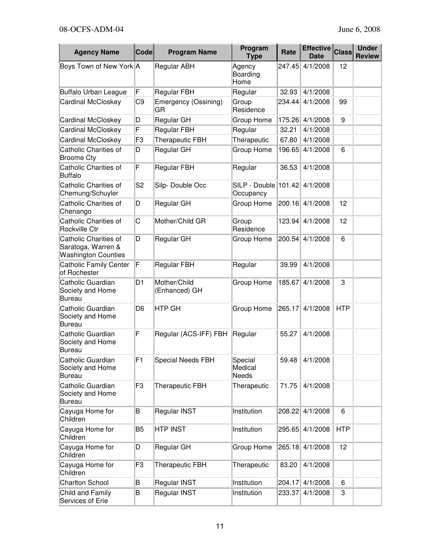| <b>Agency Name</b>                                                        | <b>Code</b>    | <b>Program Name</b>           | Program<br><b>Type</b>                | Rate   | <b>Effective</b><br><b>Date</b> | <b>Class</b> | <b>Under</b><br><b>Review</b> |
|---------------------------------------------------------------------------|----------------|-------------------------------|---------------------------------------|--------|---------------------------------|--------------|-------------------------------|
| Boys Town of New York A                                                   |                | Regular ABH                   | Agency<br>Boarding<br>Home            | 247.45 | 4/1/2008                        | 12           |                               |
| <b>Buffalo Urban League</b>                                               | F              | <b>Regular FBH</b>            | Regular                               | 32.93  | 4/1/2008                        |              |                               |
| <b>Cardinal McCloskey</b>                                                 | C <sub>9</sub> | Emergency (Ossining)<br>GR    | Group<br>Residence                    | 234.44 | 4/1/2008                        | 99           |                               |
| <b>Cardinal McCloskey</b>                                                 | D              | Regular GH                    | Group Home                            | 175.26 | 4/1/2008                        | 9            |                               |
| <b>Cardinal McCloskey</b>                                                 | F              | <b>Regular FBH</b>            | Regular                               | 32.21  | 4/1/2008                        |              |                               |
| Cardinal McCloskey                                                        | F <sub>3</sub> | <b>Therapeutic FBH</b>        | Therapeutic                           | 67.80  | 4/1/2008                        |              |                               |
| Catholic Charities of<br><b>Broome Cty</b>                                | D              | Regular GH                    | Group Home                            | 196.65 | 4/1/2008                        | 6            |                               |
| Catholic Charities of<br><b>Buffalo</b>                                   | F              | <b>Regular FBH</b>            | Regular                               | 36.53  | 4/1/2008                        |              |                               |
| Catholic Charities of<br>Chemung/Schuyler                                 | S <sub>2</sub> | Silp-Double Occ               | $SILP - Double$   101.42<br>Occupancy |        | 4/1/2008                        |              |                               |
| Catholic Charities of<br>Chenango                                         | D              | Regular GH                    | Group Home                            | 200.16 | 4/1/2008                        | 12           |                               |
| Catholic Charities of<br>Rockville Ctr                                    | C              | Mother/Child GR               | Group<br>Residence                    | 123.94 | 4/1/2008                        | 12           |                               |
| Catholic Charities of<br>Saratoga, Warren &<br><b>Washington Counties</b> | D              | Regular GH                    | Group Home                            | 200.54 | 4/1/2008                        | 6            |                               |
| <b>Catholic Family Center</b><br>of Rochester                             | F              | <b>Regular FBH</b>            | Regular                               | 39.99  | 4/1/2008                        |              |                               |
| Catholic Guardian<br>Society and Home<br><b>Bureau</b>                    | D <sub>1</sub> | Mother/Child<br>(Enhanced) GH | Group Home                            | 185.67 | 4/1/2008                        | 3            |                               |
| Catholic Guardian<br>Society and Home<br><b>Bureau</b>                    | D <sub>6</sub> | <b>HTP GH</b>                 | Group Home                            | 265.17 | 4/1/2008                        | <b>HTP</b>   |                               |
| Catholic Guardian<br>Society and Home<br><b>Bureau</b>                    | F              | Regular (ACS-IFF) FBH         | Regular                               | 55.27  | 4/1/2008                        |              |                               |
| Catholic Guardian<br>Society and Home<br><b>Bureau</b>                    | F1             | Special Needs FBH             | Special<br>Medical<br><b>Needs</b>    | 59.48  | 4/1/2008                        |              |                               |
| Catholic Guardian<br>Society and Home<br><b>Bureau</b>                    | F <sub>3</sub> | Therapeutic FBH               | Therapeutic                           | 71.75  | 4/1/2008                        |              |                               |
| Cayuga Home for<br>Children                                               | B              | Regular INST                  | Institution                           | 208.22 | 4/1/2008                        | 6            |                               |
| Cayuga Home for<br>Children                                               | B <sub>5</sub> | <b>HTP INST</b>               | Institution                           | 295.65 | 4/1/2008                        | <b>HTP</b>   |                               |
| Cayuga Home for<br>Children                                               | D              | Regular GH                    | Group Home                            | 265.18 | 4/1/2008                        | 12           |                               |
| Cayuga Home for<br>Children                                               | F3             | <b>Therapeutic FBH</b>        | Therapeutic                           | 83.20  | 4/1/2008                        |              |                               |
| <b>Charlton School</b>                                                    | B              | Regular INST                  | Institution                           | 204.17 | 4/1/2008                        | 6            |                               |
| Child and Family<br>Services of Erie                                      | B              | Regular INST                  | Institution                           | 233.37 | 4/1/2008                        | 3            |                               |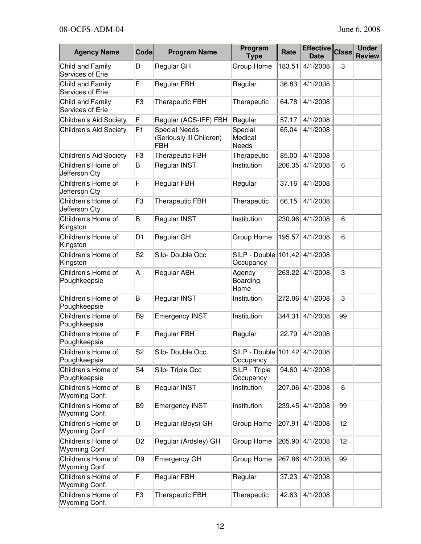| <b>Agency Name</b>                   | <b>Code</b>    | <b>Program Name</b>                                            | Program<br><b>Type</b>                     | Rate   | Effective Class<br><b>Date</b> |    | <b>Under</b><br><b>Review</b> |
|--------------------------------------|----------------|----------------------------------------------------------------|--------------------------------------------|--------|--------------------------------|----|-------------------------------|
| Child and Family<br>Services of Erie | D              | Regular GH                                                     | Group Home                                 | 183.51 | 4/1/2008                       | 3  |                               |
| Child and Family<br>Services of Erie | F              | <b>Regular FBH</b>                                             | Regular                                    | 36.83  | 4/1/2008                       |    |                               |
| Child and Family<br>Services of Erie | F <sub>3</sub> | <b>Therapeutic FBH</b>                                         | Therapeutic                                | 64.78  | 4/1/2008                       |    |                               |
| <b>Children's Aid Society</b>        | F              | Regular (ACS-IFF) FBH                                          | Regular                                    | 57.17  | 4/1/2008                       |    |                               |
| Children's Aid Society               | F1             | <b>Special Needs</b><br>(Seriously III Children)<br><b>FBH</b> | Special<br>Medical<br><b>Needs</b>         | 65.04  | 4/1/2008                       |    |                               |
| <b>Children's Aid Society</b>        | F <sub>3</sub> | Therapeutic FBH                                                | Therapeutic                                | 85.00  | 4/1/2008                       |    |                               |
| Children's Home of<br>Jefferson Cty  | B              | Regular INST                                                   | Institution                                | 206.35 | 4/1/2008                       | 6  |                               |
| Children's Home of<br>Jefferson Cty  | F              | <b>Regular FBH</b>                                             | Regular                                    | 37.16  | 4/1/2008                       |    |                               |
| Children's Home of<br>Jefferson Cty  | F <sub>3</sub> | <b>Therapeutic FBH</b>                                         | Therapeutic                                | 66.15  | 4/1/2008                       |    |                               |
| Children's Home of<br>Kingston       | B              | Regular INST                                                   | Institution                                | 230.96 | 4/1/2008                       | 6  |                               |
| Children's Home of<br>Kingston       | D <sub>1</sub> | Regular GH                                                     | Group Home                                 | 195.57 | 4/1/2008                       | 6  |                               |
| Children's Home of<br>Kingston       | S <sub>2</sub> | Silp-Double Occ                                                | SILP - Double 101.42<br>Occupancy          |        | 4/1/2008                       |    |                               |
| Children's Home of<br>Poughkeepsie   | Α              | Regular ABH                                                    | Agency<br>Boarding<br>Home                 | 263.22 | 4/1/2008                       | 3  |                               |
| Children's Home of<br>Poughkeepsie   | B              | Regular INST                                                   | Institution                                | 272.06 | 4/1/2008                       | 3  |                               |
| Children's Home of<br>Poughkeepsie   | B <sub>9</sub> | <b>Emergency INST</b>                                          | Institution                                | 344.31 | 4/1/2008                       | 99 |                               |
| Children's Home of<br>Poughkeepsie   | F              | <b>Regular FBH</b>                                             | Regular                                    | 22.79  | 4/1/2008                       |    |                               |
| Children's Home of<br>Poughkeepsie   | S <sub>2</sub> | Silp-Double Occ                                                | SILP - Double 101.42 4/1/2008<br>Occupancy |        |                                |    |                               |
| Children's Home of<br>Poughkeepsie   | S <sub>4</sub> | Silp-Triple Occ                                                | SILP - Triple<br>Occupancy                 | 94.60  | 4/1/2008                       |    |                               |
| Children's Home of<br>Wyoming Conf.  | B              | Regular INST                                                   | Institution                                | 207.06 | 4/1/2008                       | 6  |                               |
| Children's Home of<br>Wyoming Conf.  | B <sub>9</sub> | <b>Emergency INST</b>                                          | Institution                                | 239.45 | 4/1/2008                       | 99 |                               |
| Children's Home of<br>Wyoming Conf.  | D              | Regular (Boys) GH                                              | Group Home                                 | 207.91 | 4/1/2008                       | 12 |                               |
| Children's Home of<br>Wyoming Conf.  | D <sub>2</sub> | Regular (Ardsley) GH                                           | Group Home                                 | 205.90 | 4/1/2008                       | 12 |                               |
| Children's Home of<br>Wyoming Conf.  | D <sub>9</sub> | <b>Emergency GH</b>                                            | Group Home                                 | 267.86 | 4/1/2008                       | 99 |                               |
| Children's Home of<br>Wyoming Conf.  | F              | <b>Regular FBH</b>                                             | Regular                                    | 37.23  | 4/1/2008                       |    |                               |
| Children's Home of<br>Wyoming Conf.  | F <sub>3</sub> | Therapeutic FBH                                                | Therapeutic                                | 42.63  | 4/1/2008                       |    |                               |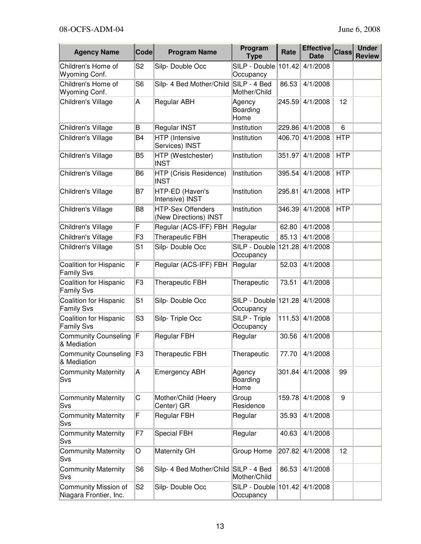| <b>Agency Name</b>                                    | <b>Code</b>    | <b>Program Name</b>                               | Program<br><b>Type</b>                     | Rate   | <b>Effective</b><br><b>Date</b> | <b>Class</b> | <b>Under</b><br><b>Review</b> |
|-------------------------------------------------------|----------------|---------------------------------------------------|--------------------------------------------|--------|---------------------------------|--------------|-------------------------------|
| Children's Home of<br>Wyoming Conf.                   | S <sub>2</sub> | Silp-Double Occ                                   | SILP - Double<br>Occupancy                 | 101.42 | 4/1/2008                        |              |                               |
| Children's Home of<br>Wyoming Conf.                   | S <sub>6</sub> | Silp- 4 Bed Mother/Child                          | SILP - 4 Bed<br>Mother/Child               | 86.53  | 4/1/2008                        |              |                               |
| Children's Village                                    | Α              | Regular ABH                                       | Agency<br>Boarding<br>Home                 | 245.59 | 4/1/2008                        | 12           |                               |
| Children's Village                                    | B              | <b>Regular INST</b>                               | Institution                                | 229.86 | 4/1/2008                        | 6            |                               |
| Children's Village                                    | B4             | HTP (Intensive<br>Services) INST                  | Institution                                | 406.70 | 4/1/2008                        | <b>HTP</b>   |                               |
| Children's Village                                    | B <sub>5</sub> | HTP (Westchester)<br><b>INST</b>                  | Institution                                | 351.97 | 4/1/2008                        | <b>HTP</b>   |                               |
| Children's Village                                    | B6             | HTP (Crisis Residence)<br><b>INST</b>             | Institution                                | 395.54 | 4/1/2008                        | <b>HTP</b>   |                               |
| Children's Village                                    | B7             | HTP-ED (Haven's<br>Intensive) INST                | Institution                                | 295.81 | 4/1/2008                        | <b>HTP</b>   |                               |
| Children's Village                                    | B8             | <b>HTP-Sex Offenders</b><br>(New Directions) INST | Institution                                | 346.39 | 4/1/2008                        | <b>HTP</b>   |                               |
| Children's Village                                    | F              | Regular (ACS-IFF) FBH                             | Regular                                    | 62.80  | 4/1/2008                        |              |                               |
| Children's Village                                    | F3             | <b>Therapeutic FBH</b>                            | Therapeutic                                | 85.13  | 4/1/2008                        |              |                               |
| Children's Village                                    | S1             | Silp-Double Occ                                   | SILP - Double   121.28<br>Occupancy        |        | 4/1/2008                        |              |                               |
| <b>Coalition for Hispanic</b><br><b>Family Svs</b>    | F              | Regular (ACS-IFF) FBH                             | Regular                                    | 52.03  | 4/1/2008                        |              |                               |
| Coalition for Hispanic<br><b>Family Svs</b>           | F <sub>3</sub> | <b>Therapeutic FBH</b>                            | Therapeutic                                | 73.51  | 4/1/2008                        |              |                               |
| Coalition for Hispanic<br><b>Family Svs</b>           | S <sub>1</sub> | Silp-Double Occ                                   | SILP - Double   121.28<br>Occupancy        |        | 4/1/2008                        |              |                               |
| Coalition for Hispanic<br><b>Family Svs</b>           | S3             | Silp-Triple Occ                                   | SILP - Triple<br>Occupancy                 | 111.53 | 4/1/2008                        |              |                               |
| <b>Community Counseling</b><br>& Mediation            | F              | <b>Regular FBH</b>                                | Regular                                    | 30.56  | 4/1/2008                        |              |                               |
| Community Counseling<br>& Mediation                   | F3             | <b>Therapeutic FBH</b>                            | Therapeutic                                | 77.70  | 4/1/2008                        |              |                               |
| <b>Community Maternity</b><br>Svs                     | A              | <b>Emergency ABH</b>                              | Agency<br>Boarding<br>Home                 | 301.84 | 4/1/2008                        | 99           |                               |
| <b>Community Maternity</b><br>Svs                     | C              | Mother/Child (Heery<br>Center) GR                 | Group<br>Residence                         | 159.78 | 4/1/2008                        | 9            |                               |
| <b>Community Maternity</b><br>Svs                     | F              | Regular FBH                                       | Regular                                    | 35.93  | 4/1/2008                        |              |                               |
| <b>Community Maternity</b><br>Svs                     | F7             | <b>Special FBH</b>                                | Regular                                    | 40.63  | 4/1/2008                        |              |                               |
| <b>Community Maternity</b><br>Svs                     | O              | Maternity GH                                      | Group Home                                 | 207.82 | 4/1/2008                        | 12           |                               |
| <b>Community Maternity</b><br>Svs                     | S <sub>6</sub> | Silp- 4 Bed Mother/Child SILP - 4 Bed             | Mother/Child                               | 86.53  | 4/1/2008                        |              |                               |
| <b>Community Mission of</b><br>Niagara Frontier, Inc. | S <sub>2</sub> | Silp-Double Occ                                   | SILP - Double 101.42 4/1/2008<br>Occupancy |        |                                 |              |                               |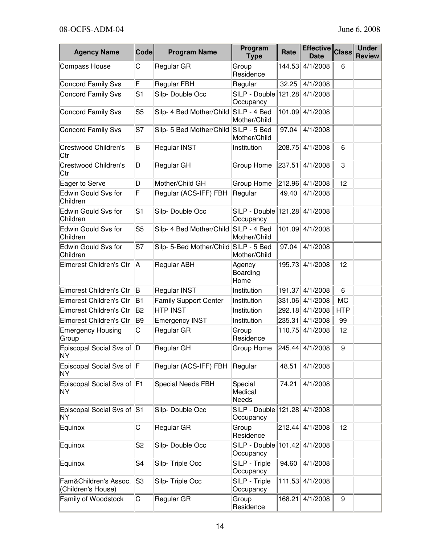| <b>Agency Name</b>                          | Code           | <b>Program Name</b>                   | Program<br><b>Type</b>              | Rate   | Effective Class<br><b>Date</b> |            | <b>Under</b><br><b>Review</b> |
|---------------------------------------------|----------------|---------------------------------------|-------------------------------------|--------|--------------------------------|------------|-------------------------------|
| <b>Compass House</b>                        | С              | Regular GR                            | Group<br>Residence                  | 144.53 | 4/1/2008                       | 6          |                               |
| <b>Concord Family Svs</b>                   | F              | <b>Regular FBH</b>                    | Regular                             | 32.25  | 4/1/2008                       |            |                               |
| <b>Concord Family Svs</b>                   | S <sub>1</sub> | Silp-Double Occ                       | SILP - Double 121.28<br>Occupancy   |        | 4/1/2008                       |            |                               |
| Concord Family Svs                          | S <sub>5</sub> | Silp- 4 Bed Mother/Child              | SILP - 4 Bed<br>Mother/Child        | 101.09 | 4/1/2008                       |            |                               |
| <b>Concord Family Svs</b>                   | S7             | Silp- 5 Bed Mother/Child SILP - 5 Bed | Mother/Child                        | 97.04  | 4/1/2008                       |            |                               |
| Crestwood Children's<br>Ctr                 | B              | Regular INST                          | Institution                         | 208.75 | 4/1/2008                       | 6          |                               |
| Crestwood Children's<br>Ctr                 | D              | Regular GH                            | Group Home                          | 237.51 | 4/1/2008                       | 3          |                               |
| Eager to Serve                              | D              | Mother/Child GH                       | <b>Group Home</b>                   | 212.96 | 4/1/2008                       | 12         |                               |
| Edwin Gould Svs for<br>Children             | F              | Regular (ACS-IFF) FBH                 | Regular                             | 49.40  | 4/1/2008                       |            |                               |
| Edwin Gould Svs for<br>Children             | S <sub>1</sub> | Silp-Double Occ                       | SILP - Double   121.28<br>Occupancy |        | 4/1/2008                       |            |                               |
| Edwin Gould Svs for<br>Children             | S <sub>5</sub> | Silp- 4 Bed Mother/Child SILP - 4 Bed | Mother/Child                        | 101.09 | 4/1/2008                       |            |                               |
| Edwin Gould Svs for<br>Children             | S7             | Silp- 5-Bed Mother/Child SILP - 5 Bed | Mother/Child                        | 97.04  | 4/1/2008                       |            |                               |
| Elmcrest Children's Ctr                     | A              | Regular ABH                           | Agency<br>Boarding<br>Home          | 195.73 | 4/1/2008                       | 12         |                               |
| Elmcrest Children's Ctr                     | B              | Regular INST                          | Institution                         | 191.37 | 4/1/2008                       | 6          |                               |
| <b>Elmcrest Children's Ctr</b>              | <b>B1</b>      | <b>Family Support Center</b>          | Institution                         | 331.06 | 4/1/2008                       | <b>MC</b>  |                               |
| <b>Elmcrest Children's Ctr</b>              | B <sub>2</sub> | <b>HTP INST</b>                       | Institution                         | 292.18 | 4/1/2008                       | <b>HTP</b> |                               |
| Elmcrest Children's Ctr                     | B <sub>9</sub> | <b>Emergency INST</b>                 | Institution                         | 235.31 | 4/1/2008                       | 99         |                               |
| <b>Emergency Housing</b><br>Group           | C              | Regular GR                            | Group<br>Residence                  | 110.75 | 4/1/2008                       | 12         |                               |
| Episcopal Social Svs of D<br><b>NY</b>      |                | Regular GH                            | Group Home                          |        | 245.44 4/1/2008                | 9          |                               |
| Episcopal Social Svs of F<br>NY             |                | Regular (ACS-IFF) FBH                 | Regular                             | 48.51  | 4/1/2008                       |            |                               |
| Episcopal Social Svs of F1<br>NY.           |                | <b>Special Needs FBH</b>              | Special<br>Medical<br>Needs         | 74.21  | 4/1/2008                       |            |                               |
| Episcopal Social Svs of<br>NY.              | S1             | Silp-Double Occ                       | SILP - Double<br>Occupancy          | 121.28 | 4/1/2008                       |            |                               |
| Equinox                                     | С              | Regular GR                            | Group<br>Residence                  | 212.44 | 4/1/2008                       | 12         |                               |
| Equinox                                     | S <sub>2</sub> | Silp-Double Occ                       | SILP - Double 101.42<br>Occupancy   |        | 4/1/2008                       |            |                               |
| Equinox                                     | S4             | Silp-Triple Occ                       | SILP - Triple<br>Occupancy          | 94.60  | 4/1/2008                       |            |                               |
| Fam&Children's Assoc.<br>(Children's House) | S3             | Silp-Triple Occ                       | SILP - Triple<br>Occupancy          | 111.53 | 4/1/2008                       |            |                               |
| Family of Woodstock                         | С              | Regular GR                            | Group<br>Residence                  | 168.21 | 4/1/2008                       | 9          |                               |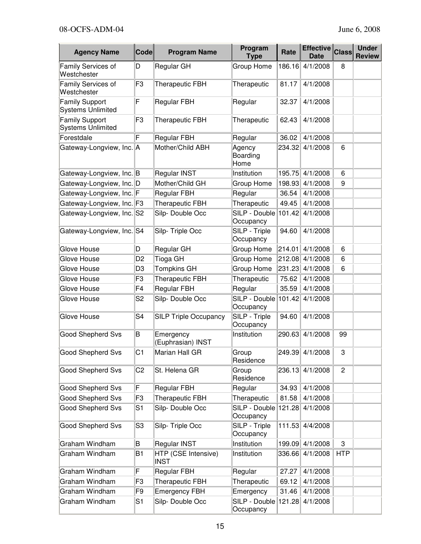| <b>Agency Name</b>                                | Code           | <b>Program Name</b>                | Program<br><b>Type</b>            | Rate   | <b>Effective</b><br><b>Date</b> | <b>Class</b>   | <b>Under</b><br><b>Review</b> |
|---------------------------------------------------|----------------|------------------------------------|-----------------------------------|--------|---------------------------------|----------------|-------------------------------|
| Family Services of<br>Westchester                 | D              | Regular GH                         | Group Home                        | 186.16 | 4/1/2008                        | 8              |                               |
| Family Services of<br>Westchester                 | F <sub>3</sub> | <b>Therapeutic FBH</b>             | Therapeutic                       | 81.17  | 4/1/2008                        |                |                               |
| <b>Family Support</b><br><b>Systems Unlimited</b> | F              | <b>Regular FBH</b>                 | Regular                           | 32.37  | 4/1/2008                        |                |                               |
| <b>Family Support</b><br><b>Systems Unlimited</b> | F <sub>3</sub> | <b>Therapeutic FBH</b>             | Therapeutic                       | 62.43  | 4/1/2008                        |                |                               |
| Forestdale                                        | F              | <b>Regular FBH</b>                 | Regular                           | 36.02  | 4/1/2008                        |                |                               |
| Gateway-Longview, Inc. A                          |                | Mother/Child ABH                   | Agency<br>Boarding<br>Home        | 234.32 | 4/1/2008                        | 6              |                               |
| Gateway-Longview, Inc. B                          |                | Regular INST                       | Institution                       | 195.75 | 4/1/2008                        | 6              |                               |
| Gateway-Longview, Inc. D                          |                | Mother/Child GH                    | Group Home                        | 198.93 | 4/1/2008                        | 9              |                               |
| Gateway-Longview, Inc. F                          |                | <b>Regular FBH</b>                 | Regular                           | 36.54  | 4/1/2008                        |                |                               |
| Gateway-Longview, Inc. F3                         |                | <b>Therapeutic FBH</b>             | Therapeutic                       | 49.45  | 4/1/2008                        |                |                               |
| Gateway-Longview, Inc. S2                         |                | Silp-Double Occ                    | SILP - Double 101.42<br>Occupancy |        | 4/1/2008                        |                |                               |
| Gateway-Longview, Inc. S4                         |                | Silp-Triple Occ                    | SILP - Triple<br>Occupancy        | 94.60  | 4/1/2008                        |                |                               |
| Glove House                                       | D              | Regular GH                         | Group Home                        | 214.01 | 4/1/2008                        | 6              |                               |
| Glove House                                       | D <sub>2</sub> | Tioga GH                           | Group Home                        | 212.08 | 4/1/2008                        | 6              |                               |
| Glove House                                       | D <sub>3</sub> | <b>Tompkins GH</b>                 | Group Home                        | 231.23 | 4/1/2008                        | 6              |                               |
| Glove House                                       | F <sub>3</sub> | <b>Therapeutic FBH</b>             | Therapeutic                       | 75.62  | 4/1/2008                        |                |                               |
| Glove House                                       | F4             | <b>Regular FBH</b>                 | Regular                           | 35.59  | 4/1/2008                        |                |                               |
| Glove House                                       | S <sub>2</sub> | Silp-Double Occ                    | SILP - Double<br>Occupancy        | 101.42 | 4/1/2008                        |                |                               |
| Glove House                                       | S4             | <b>SILP Triple Occupancy</b>       | SILP - Triple<br>Occupancy        | 94.60  | 4/1/2008                        |                |                               |
| Good Shepherd Svs                                 | B              | Emergency<br>(Euphrasian) INST     | Institution                       | 290.63 | 4/1/2008                        | 99             |                               |
| Good Shepherd Svs                                 | C <sub>1</sub> | Marian Hall GR                     | Group<br>Residence                |        | 249.39 4/1/2008                 | 3              |                               |
| <b>Good Shepherd Svs</b>                          | C <sub>2</sub> | St. Helena GR                      | Group<br>Residence                | 236.13 | 4/1/2008                        | $\overline{c}$ |                               |
| <b>Good Shepherd Svs</b>                          | F              | Regular FBH                        | Regular                           | 34.93  | 4/1/2008                        |                |                               |
| <b>Good Shepherd Svs</b>                          | F <sub>3</sub> | Therapeutic FBH                    | Therapeutic                       | 81.58  | 4/1/2008                        |                |                               |
| <b>Good Shepherd Svs</b>                          | S1             | Silp-Double Occ                    | SILP - Double 121.28<br>Occupancy |        | 4/1/2008                        |                |                               |
| <b>Good Shepherd Svs</b>                          | S3             | Silp-Triple Occ                    | SILP - Triple<br>Occupancy        | 111.53 | 4/4/2008                        |                |                               |
| Graham Windham                                    | B              | Regular INST                       | Institution                       | 199.09 | 4/1/2008                        | 3              |                               |
| Graham Windham                                    | B <sub>1</sub> | HTP (CSE Intensive)<br><b>INST</b> | Institution                       | 336.66 | 4/1/2008                        | <b>HTP</b>     |                               |
| Graham Windham                                    | F              | Regular FBH                        | Regular                           | 27.27  | 4/1/2008                        |                |                               |
| Graham Windham                                    | F <sub>3</sub> | Therapeutic FBH                    | Therapeutic                       | 69.12  | 4/1/2008                        |                |                               |
| Graham Windham                                    | F <sub>9</sub> | <b>Emergency FBH</b>               | Emergency                         | 31.46  | 4/1/2008                        |                |                               |
| Graham Windham                                    | S <sub>1</sub> | Silp-Double Occ                    | SILP - Double<br>Occupancy        | 121.28 | 4/1/2008                        |                |                               |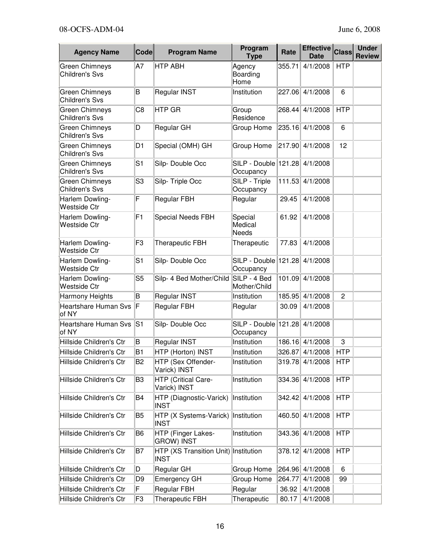| <b>Agency Name</b>                             | <b>Code</b>    | <b>Program Name</b>                                 | Program<br><b>Type</b>                | Rate   | <b>Effective</b><br><b>Date</b> | <b>Class</b>   | <b>Under</b><br><b>Review</b> |
|------------------------------------------------|----------------|-----------------------------------------------------|---------------------------------------|--------|---------------------------------|----------------|-------------------------------|
| <b>Green Chimneys</b><br><b>Children's Svs</b> | A7             | <b>HTP ABH</b>                                      | Agency<br>Boarding<br>Home            | 355.71 | 4/1/2008                        | <b>HTP</b>     |                               |
| <b>Green Chimneys</b><br><b>Children's Svs</b> | B              | <b>Regular INST</b>                                 | Institution                           | 227.06 | 4/1/2008                        | 6              |                               |
| <b>Green Chimneys</b><br><b>Children's Svs</b> | C <sub>8</sub> | <b>HTP GR</b>                                       | Group<br>Residence                    | 268.44 | 4/1/2008                        | <b>HTP</b>     |                               |
| Green Chimneys<br><b>Children's Svs</b>        | D              | Regular GH                                          | Group Home                            | 235.16 | 4/1/2008                        | 6              |                               |
| <b>Green Chimneys</b><br><b>Children's Svs</b> | D <sub>1</sub> | Special (OMH) GH                                    | Group Home                            | 217.90 | 4/1/2008                        | 12             |                               |
| <b>Green Chimneys</b><br><b>Children's Svs</b> | S <sub>1</sub> | Silp-Double Occ                                     | SILP - Double   121.28  <br>Occupancy |        | 4/1/2008                        |                |                               |
| <b>Green Chimneys</b><br><b>Children's Svs</b> | S <sub>3</sub> | Silp-Triple Occ                                     | SILP - Triple<br>Occupancy            | 111.53 | 4/1/2008                        |                |                               |
| Harlem Dowling-<br><b>Westside Ctr</b>         | F              | <b>Regular FBH</b>                                  | Regular                               | 29.45  | 4/1/2008                        |                |                               |
| Harlem Dowling-<br><b>Westside Ctr</b>         | F <sub>1</sub> | <b>Special Needs FBH</b>                            | Special<br>Medical<br><b>Needs</b>    | 61.92  | 4/1/2008                        |                |                               |
| Harlem Dowling-<br><b>Westside Ctr</b>         | F <sub>3</sub> | <b>Therapeutic FBH</b>                              | Therapeutic                           | 77.83  | 4/1/2008                        |                |                               |
| Harlem Dowling-<br><b>Westside Ctr</b>         | S <sub>1</sub> | Silp-Double Occ                                     | SILP - Double   121.28<br>Occupancy   |        | 4/1/2008                        |                |                               |
| Harlem Dowling-<br><b>Westside Ctr</b>         | S <sub>5</sub> | Silp- 4 Bed Mother/Child                            | SILP - 4 Bed<br>Mother/Child          | 101.09 | 4/1/2008                        |                |                               |
| Harmony Heights                                | B              | Regular INST                                        | Institution                           | 185.95 | 4/1/2008                        | $\overline{c}$ |                               |
| <b>Heartshare Human Svs</b><br>of NY           | F              | Regular FBH                                         | Regular                               | 30.09  | 4/1/2008                        |                |                               |
| <b>Heartshare Human Svs</b><br>of NY           | lS1            | Silp-Double Occ                                     | SILP - Double 121.28<br>Occupancy     |        | 4/1/2008                        |                |                               |
| Hillside Children's Ctr                        | B              | Regular INST                                        | Institution                           | 186.16 | 4/1/2008                        | 3              |                               |
| Hillside Children's Ctr                        | <b>B1</b>      | HTP (Horton) INST                                   | Institution                           |        | 326.87 4/1/2008                 | <b>HTP</b>     |                               |
| Hillside Children's Ctr                        | B <sub>2</sub> | HTP (Sex Offender-<br>Varick) INST                  | Institution                           | 319.78 | 4/1/2008                        | <b>HTP</b>     |                               |
| Hillside Children's Ctr                        | B <sub>3</sub> | HTP (Critical Care-<br>Varick) INST                 | Institution                           | 334.36 | 4/1/2008                        | <b>HTP</b>     |                               |
| Hillside Children's Ctr                        | B <sub>4</sub> | HTP (Diagnostic-Varick)<br><b>INST</b>              | Institution                           | 342.42 | 4/1/2008                        | <b>HTP</b>     |                               |
| Hillside Children's Ctr                        | B <sub>5</sub> | HTP (X Systems-Varick)<br><b>INST</b>               | Institution                           | 460.50 | 4/1/2008                        | <b>HTP</b>     |                               |
| Hillside Children's Ctr                        | B <sub>6</sub> | HTP (Finger Lakes-<br><b>GROW) INST</b>             | Institution                           | 343.36 | 4/1/2008                        | <b>HTP</b>     |                               |
| Hillside Children's Ctr                        | B7             | HTP (XS Transition Unit) Institution<br><b>INST</b> |                                       | 378.12 | 4/1/2008                        | <b>HTP</b>     |                               |
| Hillside Children's Ctr                        | D              | Regular GH                                          | Group Home                            | 264.96 | 4/1/2008                        | 6              |                               |
| Hillside Children's Ctr                        | D <sub>9</sub> | Emergency GH                                        | Group Home                            | 264.77 | 4/1/2008                        | 99             |                               |
| Hillside Children's Ctr                        | F              | <b>Regular FBH</b>                                  | Regular                               | 36.92  | 4/1/2008                        |                |                               |
| Hillside Children's Ctr                        | F <sub>3</sub> | <b>Therapeutic FBH</b>                              | Therapeutic                           | 80.17  | 4/1/2008                        |                |                               |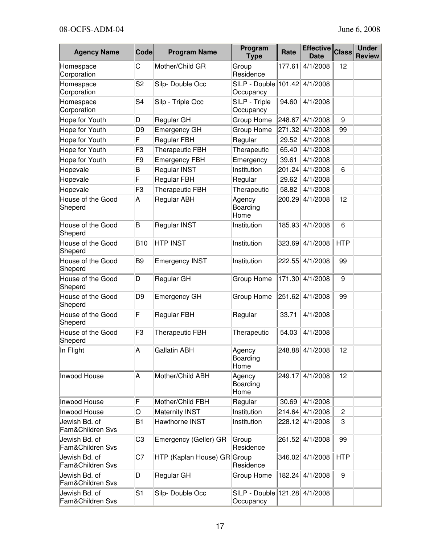| <b>Agency Name</b>                | <b>Code</b>    | <b>Program Name</b>    | Program<br><b>Type</b>              | Rate   | <b>Effective</b><br><b>Date</b> | <b>Class</b>   | <b>Under</b><br><b>Review</b> |
|-----------------------------------|----------------|------------------------|-------------------------------------|--------|---------------------------------|----------------|-------------------------------|
| Homespace<br>Corporation          | С              | Mother/Child GR        | Group<br>Residence                  | 177.61 | 4/1/2008                        | 12             |                               |
| Homespace<br>Corporation          | S <sub>2</sub> | Silp-Double Occ        | SILP - Double 101.42<br>Occupancy   |        | 4/1/2008                        |                |                               |
| Homespace<br>Corporation          | S <sub>4</sub> | Silp - Triple Occ      | SILP - Triple<br>Occupancy          | 94.60  | 4/1/2008                        |                |                               |
| Hope for Youth                    | D              | Regular GH             | Group Home                          | 248.67 | 4/1/2008                        | 9              |                               |
| Hope for Youth                    | D <sub>9</sub> | <b>Emergency GH</b>    | Group Home                          | 271.32 | 4/1/2008                        | 99             |                               |
| Hope for Youth                    | F              | <b>Regular FBH</b>     | Regular                             | 29.52  | 4/1/2008                        |                |                               |
| Hope for Youth                    | F <sub>3</sub> | <b>Therapeutic FBH</b> | Therapeutic                         | 65.40  | 4/1/2008                        |                |                               |
| Hope for Youth                    | F <sub>9</sub> | <b>Emergency FBH</b>   | Emergency                           | 39.61  | 4/1/2008                        |                |                               |
| Hopevale                          | B              | Regular INST           | Institution                         | 201.24 | 4/1/2008                        | 6              |                               |
| Hopevale                          | F              | <b>Regular FBH</b>     | Regular                             | 29.62  | 4/1/2008                        |                |                               |
| Hopevale                          | F <sub>3</sub> | <b>Therapeutic FBH</b> | Therapeutic                         | 58.82  | 4/1/2008                        |                |                               |
| House of the Good<br>Sheperd      | Α              | Regular ABH            | Agency<br>Boarding<br>Home          | 200.29 | 4/1/2008                        | 12             |                               |
| House of the Good<br>Sheperd      | B              | Regular INST           | Institution                         | 185.93 | 4/1/2008                        | 6              |                               |
| House of the Good<br>Sheperd      | <b>B10</b>     | <b>HTP INST</b>        | Institution                         | 323.69 | 4/1/2008                        | <b>HTP</b>     |                               |
| House of the Good<br>Sheperd      | B <sub>9</sub> | <b>Emergency INST</b>  | Institution                         | 222.55 | 4/1/2008                        | 99             |                               |
| House of the Good<br>Sheperd      | D              | Regular GH             | Group Home                          | 171.30 | 4/1/2008                        | 9              |                               |
| House of the Good<br>Sheperd      | D <sub>9</sub> | <b>Emergency GH</b>    | Group Home                          | 251.62 | 4/1/2008                        | 99             |                               |
| House of the Good<br>Sheperd      | F              | <b>Regular FBH</b>     | Regular                             | 33.71  | 4/1/2008                        |                |                               |
| House of the Good<br>Sheperd      | F <sub>3</sub> | <b>Therapeutic FBH</b> | Therapeutic                         | 54.03  | 4/1/2008                        |                |                               |
| In Flight                         | A              | <b>Gallatin ABH</b>    | Agency<br>Boarding<br>Home          |        | 248.88 4/1/2008                 | 12             |                               |
| Inwood House                      | Α              | Mother/Child ABH       | Agency<br>Boarding<br>Home          | 249.17 | 4/1/2008                        | 12             |                               |
| Inwood House                      | F              | Mother/Child FBH       | Regular                             | 30.69  | 4/1/2008                        |                |                               |
| Inwood House                      | O              | <b>Maternity INST</b>  | Institution                         | 214.64 | 4/1/2008                        | $\overline{2}$ |                               |
| Jewish Bd. of<br>Fam&Children Svs | B <sub>1</sub> | Hawthorne INST         | Institution                         |        | 228.12 4/1/2008                 | 3              |                               |
| Jewish Bd. of<br>Fam&Children Svs | C <sub>3</sub> | Emergency (Geller) GR  | Group<br>Residence                  | 261.52 | 4/1/2008                        | 99             |                               |
| Jewish Bd. of<br>Fam&Children Svs | C7             | HTP (Kaplan House) GR  | Group<br>Residence                  | 346.02 | 4/1/2008                        | <b>HTP</b>     |                               |
| Jewish Bd. of<br>Fam&Children Svs | D              | Regular GH             | Group Home                          | 182.24 | 4/1/2008                        | 9              |                               |
| Jewish Bd. of<br>Fam&Children Svs | S1             | Silp-Double Occ        | SILP - Double   121.28<br>Occupancy |        | 4/1/2008                        |                |                               |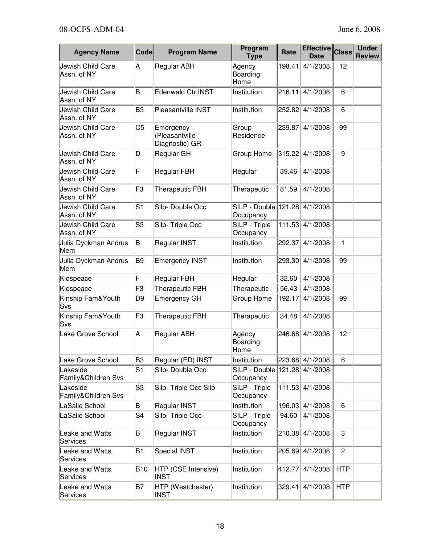| <b>Agency Name</b>               | <b>Code</b>    | <b>Program Name</b>                           | Program<br><b>Type</b>               | Rate   | Effective Class<br><b>Date</b> |                | <b>Under</b><br><b>Review</b> |
|----------------------------------|----------------|-----------------------------------------------|--------------------------------------|--------|--------------------------------|----------------|-------------------------------|
| Jewish Child Care<br>Assn. of NY | Α              | Regular ABH                                   | Agency<br>Boarding<br>Home           | 198.41 | 4/1/2008                       | 12             |                               |
| Jewish Child Care<br>Assn. of NY | B              | Edenwald Ctr INST                             | Institution                          | 216.11 | 4/1/2008                       | 6              |                               |
| Jewish Child Care<br>Assn. of NY | B <sub>3</sub> | Pleasantville INST                            | Institution                          | 252.82 | 4/1/2008                       | 6              |                               |
| Jewish Child Care<br>Assn. of NY | C <sub>5</sub> | Emergency<br>(Pleasantville<br>Diagnostic) GR | Group<br>Residence                   | 239.87 | 4/1/2008                       | 99             |                               |
| Jewish Child Care<br>Assn. of NY | D              | Regular GH                                    | Group Home                           | 315.22 | 4/1/2008                       | 9              |                               |
| Jewish Child Care<br>Assn. of NY | F              | Regular FBH                                   | Regular                              | 39.46  | 4/1/2008                       |                |                               |
| Jewish Child Care<br>Assn. of NY | F <sub>3</sub> | <b>Therapeutic FBH</b>                        | Therapeutic                          | 81.59  | 4/1/2008                       |                |                               |
| Jewish Child Care<br>Assn. of NY | S <sub>1</sub> | Silp-Double Occ                               | SILP - Double 121.28<br>Occupancy    |        | 4/1/2008                       |                |                               |
| Jewish Child Care<br>Assn. of NY | S <sub>3</sub> | Silp-Triple Occ                               | SILP - Triple<br>Occupancy           | 111.53 | 4/1/2008                       |                |                               |
| Julia Dyckman Andrus<br>Mem      | B              | Regular INST                                  | Institution                          | 292.37 | 4/1/2008                       | $\mathbf{1}$   |                               |
| Julia Dyckman Andrus<br>Mem      | B <sub>9</sub> | <b>Emergency INST</b>                         | Institution                          | 293.30 | 4/1/2008                       | 99             |                               |
| Kidspeace                        | F              | <b>Regular FBH</b>                            | Regular                              | 32.60  | 4/1/2008                       |                |                               |
| Kidspeace                        | F <sub>3</sub> | <b>Therapeutic FBH</b>                        | Therapeutic                          | 56.43  | 4/1/2008                       |                |                               |
| Kinship Fam&Youth<br>Svs         | D <sub>9</sub> | <b>Emergency GH</b>                           | Group Home                           | 192.17 | 4/1/2008                       | 99             |                               |
| Kinship Fam&Youth<br>Svs         | F <sub>3</sub> | <b>Therapeutic FBH</b>                        | Therapeutic                          | 34.48  | 4/1/2008                       |                |                               |
| Lake Grove School                | A              | Regular ABH                                   | Agency<br>Boarding<br>Home           | 246.68 | 4/1/2008                       | 12             |                               |
| Lake Grove School                | B <sub>3</sub> | Regular (ED) INST                             | Institution                          |        | 223.68 4/1/2008                | 6              |                               |
| Lakeside<br>Family&Children Svs  | S <sub>1</sub> | Silp-Double Occ                               | SILP - Double   121.28 <br>Occupancy |        | 4/1/2008                       |                |                               |
| Lakeside<br>Family&Children Svs  | S <sub>3</sub> | Silp-Triple Occ Silp                          | SILP - Triple<br>Occupancy           | 111.53 | 4/1/2008                       |                |                               |
| LaSalle School                   | B              | Regular INST                                  | Institution                          | 196.03 | 4/1/2008                       | 6              |                               |
| LaSalle School                   | S4             | Silp-Triple Occ                               | SILP - Triple<br>Occupancy           | 94.60  | 4/1/2008                       |                |                               |
| Leake and Watts<br>Services      | B              | Regular INST                                  | Institution                          | 210.38 | 4/1/2008                       | 3              |                               |
| Leake and Watts<br>Services      | B <sub>1</sub> | <b>Special INST</b>                           | Institution                          | 205.69 | 4/1/2008                       | $\overline{c}$ |                               |
| Leake and Watts<br>Services      | <b>B10</b>     | HTP (CSE Intensive)<br><b>INST</b>            | Institution                          | 412.77 | 4/1/2008                       | <b>HTP</b>     |                               |
| Leake and Watts<br>Services      | B7             | HTP (Westchester)<br><b>INST</b>              | Institution                          | 329.41 | 4/1/2008                       | <b>HTP</b>     |                               |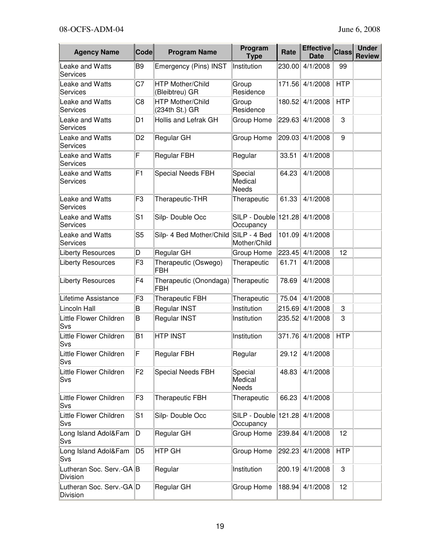| <b>Agency Name</b>                   | <b>Code</b>    | <b>Program Name</b>                       | Program<br><b>Type</b>            | Rate   | <b>Effective</b><br><b>Date</b> | <b>Class</b> | <b>Under</b><br><b>Review</b> |
|--------------------------------------|----------------|-------------------------------------------|-----------------------------------|--------|---------------------------------|--------------|-------------------------------|
| Leake and Watts<br>Services          | B <sub>9</sub> | Emergency (Pins) INST                     | Institution                       | 230.00 | 4/1/2008                        | 99           |                               |
| Leake and Watts<br>Services          | C7             | <b>HTP Mother/Child</b><br>(Bleibtreu) GR | Group<br>Residence                | 171.56 | 4/1/2008                        | <b>HTP</b>   |                               |
| Leake and Watts<br>Services          | C <sub>8</sub> | <b>HTP Mother/Child</b><br>(234th St.) GR | Group<br>Residence                | 180.52 | 4/1/2008                        | <b>HTP</b>   |                               |
| Leake and Watts<br>Services          | D <sub>1</sub> | Hollis and Lefrak GH                      | Group Home                        | 229.63 | 4/1/2008                        | 3            |                               |
| Leake and Watts<br>Services          | D <sub>2</sub> | Regular GH                                | Group Home                        | 209.03 | 4/1/2008                        | 9            |                               |
| Leake and Watts<br>Services          | F              | Regular FBH                               | Regular                           | 33.51  | 4/1/2008                        |              |                               |
| Leake and Watts<br>Services          | F <sub>1</sub> | Special Needs FBH                         | Special<br>Medical<br>Needs       | 64.23  | 4/1/2008                        |              |                               |
| Leake and Watts<br>Services          | F3             | Therapeutic-THR                           | Therapeutic                       | 61.33  | 4/1/2008                        |              |                               |
| Leake and Watts<br>Services          | S1             | Silp-Double Occ                           | SILP - Double 121.28<br>Occupancy |        | 4/1/2008                        |              |                               |
| Leake and Watts<br>Services          | S <sub>5</sub> | Silp- 4 Bed Mother/Child                  | SILP - 4 Bed<br>Mother/Child      | 101.09 | 4/1/2008                        |              |                               |
| <b>Liberty Resources</b>             | D              | Regular GH                                | Group Home                        |        | 223.45 4/1/2008                 | 12           |                               |
| <b>Liberty Resources</b>             | F3             | Therapeutic (Oswego)<br>FBH               | Therapeutic                       | 61.71  | 4/1/2008                        |              |                               |
| <b>Liberty Resources</b>             | F4             | Therapeutic (Onondaga)<br><b>FBH</b>      | Therapeutic                       | 78.69  | 4/1/2008                        |              |                               |
| Lifetime Assistance                  | F3             | <b>Therapeutic FBH</b>                    | Therapeutic                       | 75.04  | 4/1/2008                        |              |                               |
| Lincoln Hall                         | B              | Regular INST                              | Institution                       | 215.69 | 4/1/2008                        | 3            |                               |
| Little Flower Children<br>Svs        | B              | Regular INST                              | Institution                       | 235.52 | 4/1/2008                        | 3            |                               |
| Little Flower Children<br>Svs        | B <sub>1</sub> | <b>HTP INST</b>                           | Institution                       | 371.76 | 4/1/2008                        | <b>HTP</b>   |                               |
| Little Flower Children<br>Svs        | F              | Regular FBH                               | Regular                           | 29.12  | 4/1/2008                        |              |                               |
| Little Flower Children<br>Svs        | F <sub>2</sub> | <b>Special Needs FBH</b>                  | Special<br>Medical<br>Needs       | 48.83  | 4/1/2008                        |              |                               |
| Little Flower Children<br>Svs        | F <sub>3</sub> | <b>Therapeutic FBH</b>                    | Therapeutic                       | 66.23  | 4/1/2008                        |              |                               |
| Little Flower Children<br>Svs        | S <sub>1</sub> | Silp-Double Occ                           | SILP - Double 121.28<br>Occupancy |        | 4/1/2008                        |              |                               |
| Long Island Adol&Fam<br>Svs          | D              | Regular GH                                | Group Home                        | 239.84 | 4/1/2008                        | 12           |                               |
| Long Island Adol&Fam<br>Svs          | D <sub>5</sub> | <b>HTP GH</b>                             | Group Home                        | 292.23 | 4/1/2008                        | <b>HTP</b>   |                               |
| Lutheran Soc. Serv.-GA B<br>Division |                | Regular                                   | Institution                       | 200.19 | 4/1/2008                        | 3            |                               |
| Lutheran Soc. Serv.-GA D<br>Division |                | Regular GH                                | Group Home                        | 188.94 | 4/1/2008                        | 12           |                               |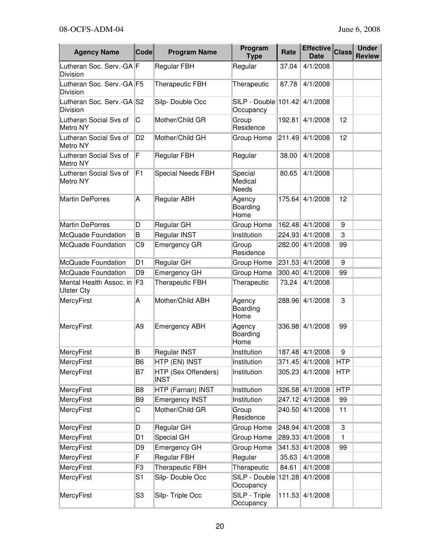| <b>Agency Name</b>                           | <b>Code</b>    | <b>Program Name</b>                | Program<br><b>Type</b>             | Rate   | Effective Class<br><b>Date</b> |            | <b>Under</b><br><b>Review</b> |
|----------------------------------------------|----------------|------------------------------------|------------------------------------|--------|--------------------------------|------------|-------------------------------|
| Lutheran Soc. Serv.-GA F<br><b>Division</b>  |                | <b>Regular FBH</b>                 | Regular                            | 37.04  | 4/1/2008                       |            |                               |
| Lutheran Soc. Serv.-GA F5<br>Division        |                | <b>Therapeutic FBH</b>             | Therapeutic                        | 87.78  | 4/1/2008                       |            |                               |
| Lutheran Soc. Serv.-GA S2<br>Division        |                | Silp-Double Occ                    | SILP - Double 101.42<br>Occupancy  |        | 4/1/2008                       |            |                               |
| Lutheran Social Svs of<br>Metro NY           | C              | Mother/Child GR                    | Group<br>Residence                 | 192.81 | 4/1/2008                       | 12         |                               |
| Lutheran Social Svs of<br>Metro NY           | D <sub>2</sub> | Mother/Child GH                    | Group Home                         | 211.49 | 4/1/2008                       | 12         |                               |
| Lutheran Social Svs of<br>Metro NY           | F              | <b>Regular FBH</b>                 | Regular                            | 38.00  | 4/1/2008                       |            |                               |
| Lutheran Social Svs of<br>Metro NY           | F <sub>1</sub> | <b>Special Needs FBH</b>           | Special<br>Medical<br><b>Needs</b> | 80.65  | 4/1/2008                       |            |                               |
| <b>Martin DePorres</b>                       | Α              | <b>Regular ABH</b>                 | Agency<br>Boarding<br>Home         | 175.64 | 4/1/2008                       | 12         |                               |
| <b>Martin DePorres</b>                       | D              | Regular GH                         | Group Home                         | 162.48 | 4/1/2008                       | 9          |                               |
| <b>McQuade Foundation</b>                    | B              | Regular INST                       | Institution                        | 224.93 | 4/1/2008                       | 3          |                               |
| McQuade Foundation                           | C <sub>9</sub> | <b>Emergency GR</b>                | Group<br>Residence                 | 282.00 | 4/1/2008                       | 99         |                               |
| McQuade Foundation                           | D <sub>1</sub> | Regular GH                         | Group Home                         | 231.53 | 4/1/2008                       | 9          |                               |
| McQuade Foundation                           | D <sub>9</sub> | Emergency GH                       | Group Home                         | 300.40 | 4/1/2008                       | 99         |                               |
| Mental Health Assoc. in<br><b>Ulster Cty</b> | F3             | <b>Therapeutic FBH</b>             | Therapeutic                        | 73.24  | 4/1/2008                       |            |                               |
| MercyFirst                                   | А              | Mother/Child ABH                   | Agency<br>Boarding<br>Home         | 288.96 | 4/1/2008                       | 3          |                               |
| MercyFirst                                   | A <sub>9</sub> | <b>Emergency ABH</b>               | Agency<br>Boarding<br>Home         | 336.98 | 4/1/2008                       | 99         |                               |
| MercyFirst                                   | B              | Regular INST                       | Institution                        |        | 187.48 4/1/2008                | 9          |                               |
| MercyFirst                                   | B <sub>6</sub> | HTP (EN) INST                      | Institution                        | 371.45 | 4/1/2008                       | <b>HTP</b> |                               |
| MercyFirst                                   | B7             | HTP (Sex Offenders)<br><b>INST</b> | Institution                        | 305.23 | 4/1/2008                       | <b>HTP</b> |                               |
| MercyFirst                                   | B <sub>8</sub> | HTP (Farnan) INST                  | Institution                        | 326.58 | 4/1/2008                       | <b>HTP</b> |                               |
| MercyFirst                                   | B <sub>9</sub> | <b>Emergency INST</b>              | Institution                        | 247.12 | 4/1/2008                       | 99         |                               |
| MercyFirst                                   | С              | Mother/Child GR                    | Group<br>Residence                 | 240.50 | 4/1/2008                       | 11         |                               |
| MercyFirst                                   | D              | Regular GH                         | Group Home                         | 248.94 | 4/1/2008                       | 3          |                               |
| <b>MercyFirst</b>                            | D <sub>1</sub> | <b>Special GH</b>                  | Group Home                         | 289.33 | 4/1/2008                       | 1          |                               |
| MercyFirst                                   | D <sub>9</sub> | <b>Emergency GH</b>                | Group Home                         | 341.53 | 4/1/2008                       | 99         |                               |
| MercyFirst                                   | F              | Regular FBH                        | Regular                            | 35.63  | 4/1/2008                       |            |                               |
| MercyFirst                                   | F <sub>3</sub> | <b>Therapeutic FBH</b>             | Therapeutic                        | 84.61  | 4/1/2008                       |            |                               |
| MercyFirst                                   | S <sub>1</sub> | Silp-Double Occ                    | SILP - Double<br>Occupancy         | 121.28 | 4/1/2008                       |            |                               |
| MercyFirst                                   | S3             | Silp-Triple Occ                    | SILP - Triple<br>Occupancy         | 111.53 | 4/1/2008                       |            |                               |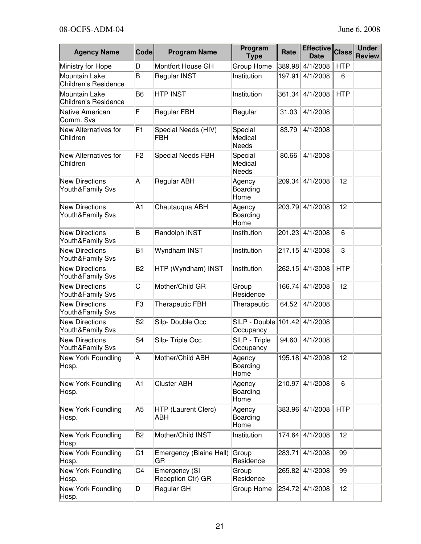| <b>Agency Name</b>                           | <b>Code</b>    | <b>Program Name</b>                | Program<br><b>Type</b>             | Rate   | <b>Effective</b><br><b>Date</b> | <b>Class</b> | <b>Under</b><br><b>Review</b> |
|----------------------------------------------|----------------|------------------------------------|------------------------------------|--------|---------------------------------|--------------|-------------------------------|
| Ministry for Hope                            | D              | Montfort House GH                  | Group Home                         | 389.98 | 4/1/2008                        | <b>HTP</b>   |                               |
| Mountain Lake<br><b>Children's Residence</b> | B              | Regular INST                       | Institution                        | 197.91 | 4/1/2008                        | 6            |                               |
| Mountain Lake<br><b>Children's Residence</b> | B <sub>6</sub> | <b>HTP INST</b>                    | Institution                        | 361.34 | 4/1/2008                        | <b>HTP</b>   |                               |
| Native American<br>Comm. Svs                 | F              | <b>Regular FBH</b>                 | Regular                            | 31.03  | 4/1/2008                        |              |                               |
| New Alternatives for<br>Children             | F <sub>1</sub> | Special Needs (HIV)<br>FBH         | Special<br>Medical<br><b>Needs</b> | 83.79  | 4/1/2008                        |              |                               |
| New Alternatives for<br>Children             | F <sub>2</sub> | Special Needs FBH                  | Special<br>Medical<br><b>Needs</b> | 80.66  | 4/1/2008                        |              |                               |
| <b>New Directions</b><br>Youth&Family Svs    | Α              | <b>Regular ABH</b>                 | Agency<br>Boarding<br>Home         | 209.34 | 4/1/2008                        | 12           |                               |
| <b>New Directions</b><br>Youth&Family Svs    | A1             | Chautauqua ABH                     | Agency<br>Boarding<br>Home         | 203.79 | 4/1/2008                        | 12           |                               |
| <b>New Directions</b><br>Youth&Family Svs    | B              | Randolph INST                      | Institution                        | 201.23 | 4/1/2008                        | 6            |                               |
| <b>New Directions</b><br>Youth&Family Svs    | B <sub>1</sub> | Wyndham INST                       | Institution                        | 217.15 | 4/1/2008                        | 3            |                               |
| <b>New Directions</b><br>Youth&Family Svs    | B <sub>2</sub> | HTP (Wyndham) INST                 | Institution                        | 262.15 | 4/1/2008                        | <b>HTP</b>   |                               |
| <b>New Directions</b><br>Youth&Family Svs    | C              | Mother/Child GR                    | Group<br>Residence                 | 166.74 | 4/1/2008                        | 12           |                               |
| <b>New Directions</b><br>Youth&Family Svs    | F <sub>3</sub> | <b>Therapeutic FBH</b>             | Therapeutic                        | 64.52  | 4/1/2008                        |              |                               |
| <b>New Directions</b><br>Youth&Family Svs    | S <sub>2</sub> | Silp-Double Occ                    | SILP - Double 101.42<br>Occupancy  |        | 4/1/2008                        |              |                               |
| <b>New Directions</b><br>Youth&Family Svs    | S <sub>4</sub> | Silp-Triple Occ                    | SILP - Triple<br>Occupancy         | 94.60  | 4/1/2008                        |              |                               |
| New York Foundling<br>Hosp.                  | Α              | Mother/Child ABH                   | Agency<br>Boarding<br>Home         | 195.18 | 4/1/2008                        | 12           |                               |
| New York Foundling<br>Hosp.                  | A1             | <b>Cluster ABH</b>                 | Agency<br>Boarding<br>Home         | 210.97 | 4/1/2008                        | 6            |                               |
| New York Foundling<br>Hosp.                  | A <sub>5</sub> | HTP (Laurent Clerc)<br>ABH         | Agency<br>Boarding<br>Home         | 383.96 | 4/1/2008                        | <b>HTP</b>   |                               |
| New York Foundling<br>Hosp.                  | B <sub>2</sub> | Mother/Child INST                  | Institution                        | 174.64 | 4/1/2008                        | 12           |                               |
| New York Foundling<br>Hosp.                  | C <sub>1</sub> | Emergency (Blaine Hall)<br>GR      | Group<br>Residence                 | 283.71 | 4/1/2008                        | 99           |                               |
| New York Foundling<br>Hosp.                  | C4             | Emergency (SI<br>Reception Ctr) GR | Group<br>Residence                 | 265.82 | 4/1/2008                        | 99           |                               |
| New York Foundling<br>Hosp.                  | D              | Regular GH                         | Group Home                         | 234.72 | 4/1/2008                        | 12           |                               |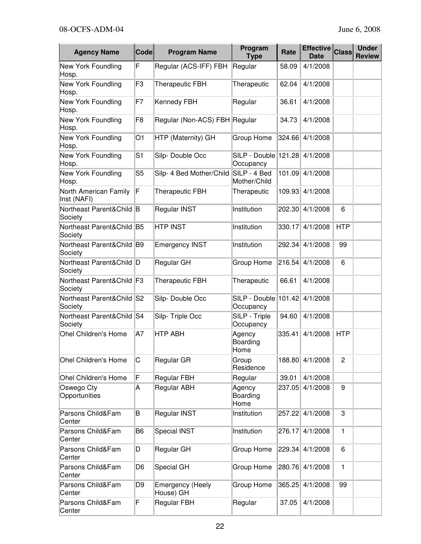| <b>Agency Name</b>                   | <b>Code</b>    | <b>Program Name</b>           | Program<br><b>Type</b>            | Rate   | <b>Effective</b><br>Date | <b>Class</b>   | <b>Under</b><br><b>Review</b> |
|--------------------------------------|----------------|-------------------------------|-----------------------------------|--------|--------------------------|----------------|-------------------------------|
| New York Foundling<br>Hosp.          | F              | Regular (ACS-IFF) FBH         | Regular                           | 58.09  | 4/1/2008                 |                |                               |
| New York Foundling<br>Hosp.          | F <sub>3</sub> | <b>Therapeutic FBH</b>        | Therapeutic                       | 62.04  | 4/1/2008                 |                |                               |
| New York Foundling<br>Hosp.          | F7             | Kennedy FBH                   | Regular                           | 36.61  | 4/1/2008                 |                |                               |
| <b>New York Foundling</b><br>Hosp.   | F <sub>8</sub> | Regular (Non-ACS) FBH Regular |                                   | 34.73  | 4/1/2008                 |                |                               |
| New York Foundling<br>Hosp.          | O <sub>1</sub> | HTP (Maternity) GH            | Group Home                        | 324.66 | 4/1/2008                 |                |                               |
| New York Foundling<br>Hosp.          | S <sub>1</sub> | Silp-Double Occ               | SILP - Double 121.28<br>Occupancy |        | 4/1/2008                 |                |                               |
| New York Foundling<br>Hosp.          | S <sub>5</sub> | Silp- 4 Bed Mother/Child      | SILP - 4 Bed<br>Mother/Child      | 101.09 | 4/1/2008                 |                |                               |
| North American Family<br>Inst (NAFI) | F              | <b>Therapeutic FBH</b>        | Therapeutic                       | 109.93 | 4/1/2008                 |                |                               |
| Northeast Parent&Child B<br>Society  |                | Regular INST                  | Institution                       | 202.30 | 4/1/2008                 | 6              |                               |
| Northeast Parent&Child B5<br>Society |                | <b>HTP INST</b>               | Institution                       | 330.17 | 4/1/2008                 | <b>HTP</b>     |                               |
| Northeast Parent&Child B9<br>Society |                | <b>Emergency INST</b>         | Institution                       | 292.34 | 4/1/2008                 | 99             |                               |
| Northeast Parent&Child D<br>Society  |                | Regular GH                    | Group Home                        | 216.54 | 4/1/2008                 | 6              |                               |
| Northeast Parent&Child F3<br>Society |                | <b>Therapeutic FBH</b>        | Therapeutic                       | 66.61  | 4/1/2008                 |                |                               |
| Northeast Parent&Child S2<br>Society |                | Silp-Double Occ               | SILP - Double<br>Occupancy        | 101.42 | 4/1/2008                 |                |                               |
| Northeast Parent&Child S4<br>Society |                | Silp-Triple Occ               | SILP - Triple<br>Occupancy        | 94.60  | 4/1/2008                 |                |                               |
| Ohel Children's Home                 | A7             | <b>HTP ABH</b>                | Agency<br>Boarding<br>Home        | 335.41 | 4/1/2008                 | <b>HTP</b>     |                               |
| <b>Ohel Children's Home</b>          | С              | Regular GR                    | Group<br>Residence                | 188.80 | 4/1/2008                 | $\overline{2}$ |                               |
| <b>Ohel Children's Home</b>          | F              | Regular FBH                   | Regular                           | 39.01  | 4/1/2008                 |                |                               |
| Oswego Cty<br>Opportunities          | A              | Regular ABH                   | Agency<br>Boarding<br>Home        | 237.05 | 4/1/2008                 | 9              |                               |
| Parsons Child&Fam<br>Center          | B              | Regular INST                  | Institution                       | 257.22 | 4/1/2008                 | 3              |                               |
| Parsons Child&Fam<br>Center          | B <sub>6</sub> | <b>Special INST</b>           | Institution                       | 276.17 | 4/1/2008                 | $\mathbf{1}$   |                               |
| Parsons Child&Fam<br>Center          | D              | Regular GH                    | Group Home                        | 229.34 | 4/1/2008                 | 6              |                               |
| Parsons Child&Fam<br>Center          | D <sub>6</sub> | Special GH                    | Group Home                        | 280.76 | 4/1/2008                 | $\mathbf{1}$   |                               |
| Parsons Child&Fam<br>Center          | D <sub>9</sub> | Emergency (Heely<br>House) GH | Group Home                        | 365.25 | 4/1/2008                 | 99             |                               |
| Parsons Child&Fam<br>Center          | F              | Regular FBH                   | Regular                           | 37.05  | 4/1/2008                 |                |                               |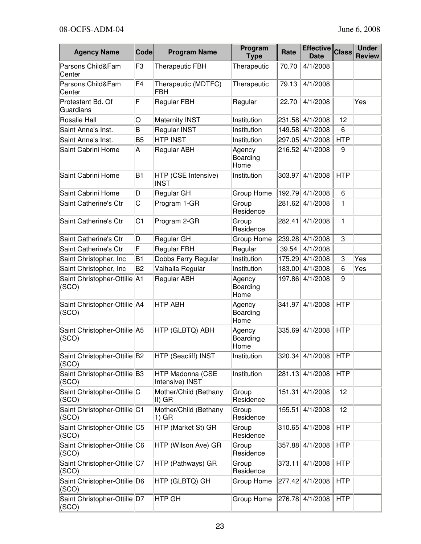| <b>Agency Name</b>                      | <b>Code</b>    | <b>Program Name</b>                 | Program<br><b>Type</b>     | Rate   | Effective Class<br><b>Date</b> |            | <b>Under</b><br><b>Review</b> |
|-----------------------------------------|----------------|-------------------------------------|----------------------------|--------|--------------------------------|------------|-------------------------------|
| Parsons Child&Fam<br>Center             | F <sub>3</sub> | <b>Therapeutic FBH</b>              | Therapeutic                | 70.70  | 4/1/2008                       |            |                               |
| Parsons Child&Fam<br>Center             | F <sub>4</sub> | Therapeutic (MDTFC)<br><b>FBH</b>   | Therapeutic                | 79.13  | 4/1/2008                       |            |                               |
| Protestant Bd. Of<br>Guardians          | F              | <b>Regular FBH</b>                  | Regular                    | 22.70  | 4/1/2008                       |            | Yes                           |
| Rosalie Hall                            | O              | <b>Maternity INST</b>               | Institution                |        | 231.58 4/1/2008                | 12         |                               |
| Saint Anne's Inst.                      | B              | <b>Regular INST</b>                 | Institution                | 149.58 | 4/1/2008                       | 6          |                               |
| Saint Anne's Inst.                      | B <sub>5</sub> | <b>HTP INST</b>                     | Institution                | 297.05 | 4/1/2008                       | <b>HTP</b> |                               |
| Saint Cabrini Home                      | Α              | Regular ABH                         | Agency<br>Boarding<br>Home | 216.52 | 4/1/2008                       | 9          |                               |
| Saint Cabrini Home                      | B <sub>1</sub> | HTP (CSE Intensive)<br><b>INST</b>  | Institution                | 303.97 | 4/1/2008                       | <b>HTP</b> |                               |
| Saint Cabrini Home                      | D              | Regular GH                          | Group Home                 | 192.79 | 4/1/2008                       | 6          |                               |
| Saint Catherine's Ctr                   | C              | Program 1-GR                        | Group<br>Residence         | 281.62 | 4/1/2008                       | 1          |                               |
| Saint Catherine's Ctr                   | C <sub>1</sub> | Program 2-GR                        | Group<br>Residence         | 282.41 | 4/1/2008                       | 1          |                               |
| Saint Catherine's Ctr                   | D              | Regular GH                          | Group Home                 | 239.28 | 4/1/2008                       | 3          |                               |
| Saint Catherine's Ctr                   | F              | Regular FBH                         | Regular                    | 39.54  | 4/1/2008                       |            |                               |
| Saint Christopher, Inc                  | B <sub>1</sub> | Dobbs Ferry Regular                 | Institution                | 175.29 | 4/1/2008                       | 3          | Yes                           |
| Saint Christopher, Inc                  | B <sub>2</sub> | Valhalla Regular                    | Institution                | 183.00 | 4/1/2008                       | 6          | Yes                           |
| Saint Christopher-Ottilie A1<br>(SCO)   |                | Regular ABH                         | Agency<br>Boarding<br>Home | 197.86 | 4/1/2008                       | 9          |                               |
| Saint Christopher-Ottilie A4<br>(SCO)   |                | <b>HTP ABH</b>                      | Agency<br>Boarding<br>Home | 341.97 | 4/1/2008                       | <b>HTP</b> |                               |
| Saint Christopher-Ottilie A5<br>(SCO)   |                | HTP (GLBTQ) ABH                     | Agency<br>Boarding<br>Home | 335.69 | 4/1/2008                       | <b>HTP</b> |                               |
| Saint Christopher-Ottilie B2<br>(SCO)   |                | HTP (Seacliff) INST                 | Institution                |        | 320.34 4/1/2008                | <b>HTP</b> |                               |
| Saint Christopher-Ottilie B3<br>(SCO)   |                | HTP Madonna (CSE<br>Intensive) INST | Institution                | 281.13 | 4/1/2008                       | <b>HTP</b> |                               |
| Saint Christopher-Ottilie C<br>(SCO)    |                | Mother/Child (Bethany<br>II) GR     | Group<br>Residence         | 151.31 | 4/1/2008                       | 12         |                               |
| Saint Christopher-Ottilie C1<br>(SCO)   |                | Mother/Child (Bethany<br>1) GR      | Group<br>Residence         | 155.51 | 4/1/2008                       | 12         |                               |
| Saint Christopher-Ottilie C5<br>(SCO)   |                | HTP (Market St) GR                  | Group<br>Residence         | 310.65 | 4/1/2008                       | <b>HTP</b> |                               |
| Saint Christopher-Ottilie C6<br>(SCO)   |                | HTP (Wilson Ave) GR                 | Group<br>Residence         | 357.88 | 4/1/2008                       | <b>HTP</b> |                               |
| Saint Christopher-Ottilie C7<br>(SCO)   |                | HTP (Pathways) GR                   | Group<br>Residence         | 373.11 | 4/1/2008                       | <b>HTP</b> |                               |
| Saint Christopher-Ottilie D6<br>(SCO)   |                | HTP (GLBTQ) GH                      | Group Home                 | 277.42 | 4/1/2008                       | <b>HTP</b> |                               |
| Saint Christopher-Ottilie D7<br>  (SCO) |                | HTP GH                              | Group Home                 | 276.78 | 4/1/2008                       | <b>HTP</b> |                               |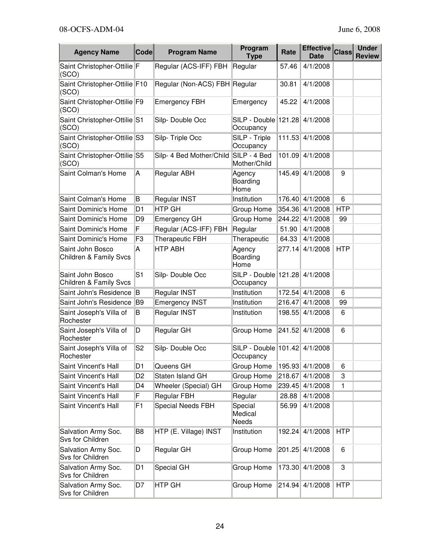| <b>Agency Name</b>                         | <b>Code</b>    | <b>Program Name</b>           | Program<br><b>Type</b>                     | Rate   | <b>Effective</b><br><b>Date</b> | <b>Class</b> | <b>Under</b><br><b>Review</b> |
|--------------------------------------------|----------------|-------------------------------|--------------------------------------------|--------|---------------------------------|--------------|-------------------------------|
| Saint Christopher-Ottilie F<br>(SCO)       |                | Regular (ACS-IFF) FBH         | Regular                                    | 57.46  | 4/1/2008                        |              |                               |
| Saint Christopher-Ottilie F10<br>(SCO)     |                | Regular (Non-ACS) FBH Regular |                                            | 30.81  | 4/1/2008                        |              |                               |
| Saint Christopher-Ottilie F9<br>(SCO)      |                | <b>Emergency FBH</b>          | Emergency                                  | 45.22  | 4/1/2008                        |              |                               |
| Saint Christopher-Ottilie S1<br>(SCO)      |                | Silp-Double Occ               | SILP - Double   121.28<br>Occupancy        |        | 4/1/2008                        |              |                               |
| Saint Christopher-Ottilie S3<br>(SCO)      |                | Silp-Triple Occ               | SILP - Triple<br>Occupancy                 | 111.53 | 4/1/2008                        |              |                               |
| Saint Christopher-Ottilie S5<br>(SCO)      |                | Silp- 4 Bed Mother/Child      | SILP - 4 Bed<br>Mother/Child               | 101.09 | 4/1/2008                        |              |                               |
| Saint Colman's Home                        | Α              | Regular ABH                   | Agency<br>Boarding<br>Home                 | 145.49 | 4/1/2008                        | 9            |                               |
| Saint Colman's Home                        | B              | Regular INST                  | Institution                                | 176.40 | 4/1/2008                        | 6            |                               |
| Saint Dominic's Home                       | D <sub>1</sub> | HTP GH                        | Group Home                                 | 354.36 | 4/1/2008                        | <b>HTP</b>   |                               |
| Saint Dominic's Home                       | D <sub>9</sub> | Emergency GH                  | Group Home                                 | 244.22 | 4/1/2008                        | 99           |                               |
| Saint Dominic's Home                       | F              | Regular (ACS-IFF) FBH         | Regular                                    | 51.90  | 4/1/2008                        |              |                               |
| Saint Dominic's Home                       | F3             | <b>Therapeutic FBH</b>        | Therapeutic                                | 64.33  | 4/1/2008                        |              |                               |
| Saint John Bosco<br>Children & Family Svcs | А              | <b>HTP ABH</b>                | Agency<br>Boarding<br>Home                 | 277.14 | 4/1/2008                        | <b>HTP</b>   |                               |
| Saint John Bosco<br>Children & Family Svcs | S <sub>1</sub> | Silp-Double Occ               | SILP - Double 121.28<br>Occupancy          |        | 4/1/2008                        |              |                               |
| Saint John's Residence                     | B              | Regular INST                  | Institution                                | 172.54 | 4/1/2008                        | 6            |                               |
| Saint John's Residence                     | B9             | <b>Emergency INST</b>         | Institution                                | 216.47 | 4/1/2008                        | 99           |                               |
| Saint Joseph's Villa of<br>Rochester       | В              | Regular INST                  | Institution                                | 198.55 | 4/1/2008                        | 6            |                               |
| Saint Joseph's Villa of<br>Rochester       | D              | Regular GH                    | Group Home                                 | 241.52 | 4/1/2008                        | 6            |                               |
| Saint Joseph's Villa of<br>Rochester       | S <sub>2</sub> | Silp-Double Occ               | SILP - Double 101.42 4/1/2008<br>Occupancy |        |                                 |              |                               |
| Saint Vincent's Hall                       | D <sub>1</sub> | Queens GH                     | Group Home                                 | 195.93 | 4/1/2008                        | 6            |                               |
| Saint Vincent's Hall                       | D <sub>2</sub> | Staten Island GH              | Group Home                                 | 218.67 | 4/1/2008                        | 3            |                               |
| Saint Vincent's Hall                       | D4             | Wheeler (Special) GH          | Group Home                                 | 239.45 | 4/1/2008                        | 1            |                               |
| Saint Vincent's Hall                       | F              | Regular FBH                   | Regular                                    | 28.88  | 4/1/2008                        |              |                               |
| Saint Vincent's Hall                       | F1             | <b>Special Needs FBH</b>      | Special<br>Medical<br>Needs                | 56.99  | 4/1/2008                        |              |                               |
| Salvation Army Soc.<br>Svs for Children    | B <sub>8</sub> | HTP (E. Village) INST         | Institution                                | 192.24 | 4/1/2008                        | <b>HTP</b>   |                               |
| Salvation Army Soc.<br>Svs for Children    | D              | Regular GH                    | Group Home                                 | 201.25 | 4/1/2008                        | 6            |                               |
| Salvation Army Soc.<br>Svs for Children    | D <sub>1</sub> | <b>Special GH</b>             | Group Home                                 | 173.30 | 4/1/2008                        | 3            |                               |
| Salvation Army Soc.<br>Svs for Children    | D7             | <b>HTP GH</b>                 | Group Home                                 | 214.94 | 4/1/2008                        | <b>HTP</b>   |                               |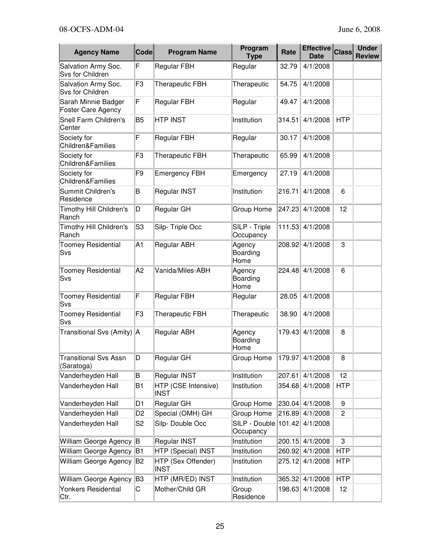| <b>Agency Name</b>                         | <b>Code</b>    | <b>Program Name</b>                | Program<br><b>Type</b>            | Rate   | <b>Effective</b><br><b>Date</b> | <b>Class</b>   | <b>Under</b><br><b>Review</b> |
|--------------------------------------------|----------------|------------------------------------|-----------------------------------|--------|---------------------------------|----------------|-------------------------------|
| Salvation Army Soc.<br>Svs for Children    | F              | Regular FBH                        | Regular                           | 32.79  | 4/1/2008                        |                |                               |
| Salvation Army Soc.<br>Svs for Children    | F3             | <b>Therapeutic FBH</b>             | Therapeutic                       | 54.75  | 4/1/2008                        |                |                               |
| Sarah Minnie Badger<br>Foster Care Agency  | F              | <b>Regular FBH</b>                 | Regular                           | 49.47  | 4/1/2008                        |                |                               |
| Snell Farm Children's<br>Center            | B <sub>5</sub> | <b>HTP INST</b>                    | Institution                       | 314.51 | 4/1/2008                        | <b>HTP</b>     |                               |
| Society for<br>Children&Families           | F              | <b>Regular FBH</b>                 | Regular                           | 30.17  | 4/1/2008                        |                |                               |
| Society for<br>Children&Families           | F <sub>3</sub> | <b>Therapeutic FBH</b>             | Therapeutic                       | 65.99  | 4/1/2008                        |                |                               |
| Society for<br>Children&Families           | F <sub>9</sub> | <b>Emergency FBH</b>               | Emergency                         | 27.19  | 4/1/2008                        |                |                               |
| Summit Children's<br>Residence             | B              | Regular INST                       | Institution                       | 216.71 | 4/1/2008                        | 6              |                               |
| Timothy Hill Children's<br>Ranch           | D              | Regular GH                         | <b>Group Home</b>                 | 247.23 | 4/1/2008                        | 12             |                               |
| Timothy Hill Children's<br>Ranch           | S <sub>3</sub> | Silp-Triple Occ                    | SILP - Triple<br>Occupancy        | 111.53 | 4/1/2008                        |                |                               |
| <b>Toomey Residential</b><br>Svs           | A1             | <b>Regular ABH</b>                 | Agency<br>Boarding<br>Home        | 208.92 | 4/1/2008                        | 3              |                               |
| <b>Toomey Residential</b><br>Svs           | A <sub>2</sub> | Vanida/Miles-ABH                   | Agency<br>Boarding<br>Home        | 224.48 | 4/1/2008                        | 6              |                               |
| <b>Toomey Residential</b><br>Svs           | F              | Regular FBH                        | Regular                           | 28.05  | 4/1/2008                        |                |                               |
| <b>Toomey Residential</b><br>Svs           | F <sub>3</sub> | <b>Therapeutic FBH</b>             | Therapeutic                       | 38.90  | 4/1/2008                        |                |                               |
| Transitional Svs (Amity) A                 |                | Regular ABH                        | Agency<br>Boarding<br>Home        | 179.43 | 4/1/2008                        | 8              |                               |
| <b>Transitional Svs Assn</b><br>(Saratoga) | D              | Regular GH                         | Group Home                        | 179.97 | 4/1/2008                        | 8              |                               |
| Vanderheyden Hall                          | B              | Regular INST                       | Institution                       | 207.61 | 4/1/2008                        | 12             |                               |
| Vanderheyden Hall                          | <b>B1</b>      | HTP (CSE Intensive)<br><b>INST</b> | Institution                       | 354.68 | 4/1/2008                        | <b>HTP</b>     |                               |
| Vanderheyden Hall                          | D <sub>1</sub> | Regular GH                         | Group Home                        | 230.04 | 4/1/2008                        | 9              |                               |
| Vanderheyden Hall                          | D <sub>2</sub> | Special (OMH) GH                   | Group Home                        | 216.89 | 4/1/2008                        | $\overline{c}$ |                               |
| Vanderheyden Hall                          | S <sub>2</sub> | Silp-Double Occ                    | SILP - Double 101.42<br>Occupancy |        | 4/1/2008                        |                |                               |
| William George Agency B                    |                | Regular INST                       | Institution                       | 200.15 | 4/1/2008                        | 3              |                               |
| William George Agency   B1                 |                | HTP (Special) INST                 | Institution                       | 260.92 | 4/1/2008                        | <b>HTP</b>     |                               |
| William George Agency                      | B2             | HTP (Sex Offender)<br><b>INST</b>  | Institution                       | 275.12 | 4/1/2008                        | <b>HTP</b>     |                               |
| William George Agency                      | B3             | HTP (MR/ED) INST                   | Institution                       | 365.32 | 4/1/2008                        | <b>HTP</b>     |                               |
| <b>Yonkers Residential</b><br>Ctr.         | С              | Mother/Child GR                    | Group<br>Residence                | 198.63 | 4/1/2008                        | 12             |                               |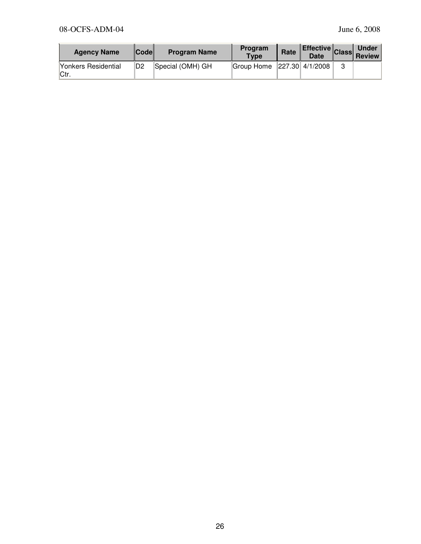| <b>Agency Name</b>          | <b>Codel</b> | <b>Program Name</b> | Program<br><b>Type</b>         | Rate | <b>Effective Class Review</b> |   |  |
|-----------------------------|--------------|---------------------|--------------------------------|------|-------------------------------|---|--|
| Yonkers Residential<br>Ctr. | D2           | Special (OMH) GH    | Group Home $ 227.30 $ 4/1/2008 |      |                               | 3 |  |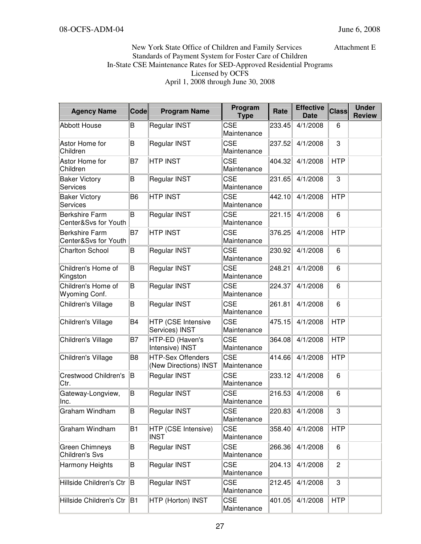## New York State Office of Children and Family Services Attachment E Standards of Payment System for Foster Care of Children In-State CSE Maintenance Rates for SED-Approved Residential Programs Licensed by OCFS April 1, 2008 through June 30, 2008

| <b>Agency Name</b>                            | <b>Code</b>    | <b>Program Name</b>                               | Program<br><b>Type</b>    | Rate   | <b>Effective</b><br><b>Date</b> | <b>Class</b>   | <b>Under</b><br><b>Review</b> |
|-----------------------------------------------|----------------|---------------------------------------------------|---------------------------|--------|---------------------------------|----------------|-------------------------------|
| <b>Abbott House</b>                           | B              | Regular INST                                      | <b>CSE</b><br>Maintenance | 233.45 | 4/1/2008                        | 6              |                               |
| Astor Home for<br>Children                    | B              | Regular INST                                      | <b>CSE</b><br>Maintenance | 237.52 | 4/1/2008                        | 3              |                               |
| Astor Home for<br>Children                    | B7             | <b>HTP INST</b>                                   | <b>CSE</b><br>Maintenance | 404.32 | 4/1/2008                        | <b>HTP</b>     |                               |
| <b>Baker Victory</b><br><b>Services</b>       | B              | Regular INST                                      | <b>CSE</b><br>Maintenance | 231.65 | 4/1/2008                        | 3              |                               |
| <b>Baker Victory</b><br>Services              | B <sub>6</sub> | <b>HTP INST</b>                                   | <b>CSE</b><br>Maintenance | 442.10 | 4/1/2008                        | <b>HTP</b>     |                               |
| <b>Berkshire Farm</b><br>Center&Svs for Youth | B              | Regular INST                                      | <b>CSE</b><br>Maintenance | 221.15 | 4/1/2008                        | 6              |                               |
| <b>Berkshire Farm</b><br>Center&Svs for Youth | <b>B7</b>      | <b>HTP INST</b>                                   | <b>CSE</b><br>Maintenance | 376.25 | 4/1/2008                        | <b>HTP</b>     |                               |
| <b>Charlton School</b>                        | B              | Regular INST                                      | <b>CSE</b><br>Maintenance | 230.92 | 4/1/2008                        | 6              |                               |
| Children's Home of<br>Kingston                | B              | Regular INST                                      | <b>CSE</b><br>Maintenance | 248.21 | 4/1/2008                        | 6              |                               |
| Children's Home of<br>Wyoming Conf.           | B              | <b>Regular INST</b>                               | <b>CSE</b><br>Maintenance | 224.37 | 4/1/2008                        | 6              |                               |
| Children's Village                            | B              | Regular INST                                      | <b>CSE</b><br>Maintenance | 261.81 | 4/1/2008                        | 6              |                               |
| Children's Village                            | <b>B4</b>      | HTP (CSE Intensive<br>Services) INST              | <b>CSE</b><br>Maintenance | 475.15 | 4/1/2008                        | <b>HTP</b>     |                               |
| Children's Village                            | <b>B7</b>      | HTP-ED (Haven's<br>Intensive) INST                | <b>CSE</b><br>Maintenance | 364.08 | 4/1/2008                        | <b>HTP</b>     |                               |
| Children's Village                            | B <sub>8</sub> | <b>HTP-Sex Offenders</b><br>(New Directions) INST | <b>CSE</b><br>Maintenance | 414.66 | 4/1/2008                        | <b>HTP</b>     |                               |
| Crestwood Children's<br>Ctr.                  | lΒ             | <b>Regular INST</b>                               | <b>CSE</b><br>Maintenance | 233.12 | 4/1/2008                        | 6              |                               |
| Gateway-Longview,<br>Inc.                     | B              | Regular INST                                      | <b>CSE</b><br>Maintenance | 216.53 | 4/1/2008                        | 6              |                               |
| Graham Windham                                | B              | Regular INST                                      | CSE<br>Maintenance        | 220.83 | 4/1/2008                        | 3              |                               |
| Graham Windham                                | B <sub>1</sub> | HTP (CSE Intensive)<br><b>INST</b>                | <b>CSE</b><br>Maintenance | 358.40 | 4/1/2008                        | <b>HTP</b>     |                               |
| <b>Green Chimneys</b><br>Children's Svs       | B              | Regular INST                                      | <b>CSE</b><br>Maintenance | 266.36 | 4/1/2008                        | 6              |                               |
| Harmony Heights                               | B              | Regular INST                                      | <b>CSE</b><br>Maintenance | 204.13 | 4/1/2008                        | $\overline{2}$ |                               |
| Hillside Children's Ctr                       | B.             | Regular INST                                      | <b>CSE</b><br>Maintenance | 212.45 | 4/1/2008                        | 3              |                               |
| Hillside Children's Ctr                       | B1             | HTP (Horton) INST                                 | <b>CSE</b><br>Maintenance | 401.05 | 4/1/2008                        | <b>HTP</b>     |                               |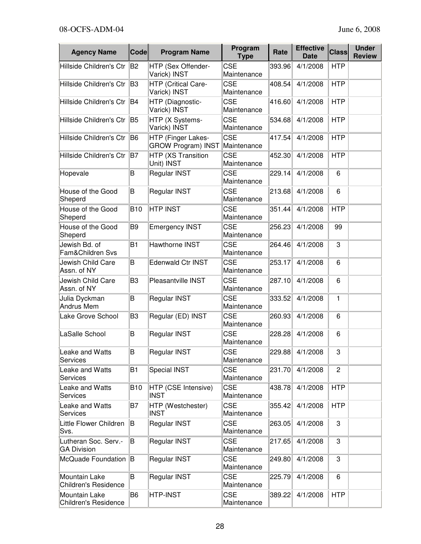| <b>Agency Name</b>                           | <b>Code</b>    | <b>Program Name</b>                             | Program<br><b>Type</b>    | Rate   | <b>Effective</b><br><b>Date</b> | <b>Class</b>   | <b>Under</b><br><b>Review</b> |
|----------------------------------------------|----------------|-------------------------------------------------|---------------------------|--------|---------------------------------|----------------|-------------------------------|
| Hillside Children's Ctr                      | B2             | HTP (Sex Offender-<br>Varick) INST              | <b>CSE</b><br>Maintenance | 393.96 | 4/1/2008                        | <b>HTP</b>     |                               |
| Hillside Children's Ctr                      | B <sub>3</sub> | HTP (Critical Care-<br>Varick) INST             | <b>CSE</b><br>Maintenance | 408.54 | 4/1/2008                        | <b>HTP</b>     |                               |
| Hillside Children's Ctr                      | B4             | HTP (Diagnostic-<br>Varick) INST                | <b>CSE</b><br>Maintenance | 416.60 | 4/1/2008                        | <b>HTP</b>     |                               |
| Hillside Children's Ctr                      | B <sub>5</sub> | HTP (X Systems-<br>Varick) INST                 | <b>CSE</b><br>Maintenance | 534.68 | 4/1/2008                        | <b>HTP</b>     |                               |
| Hillside Children's Ctr                      | B <sub>6</sub> | HTP (Finger Lakes-<br><b>GROW Program) INST</b> | <b>CSE</b><br>Maintenance | 417.54 | 4/1/2008                        | <b>HTP</b>     |                               |
| Hillside Children's Ctr                      | B7             | HTP (XS Transition<br>Unit) INST                | <b>CSE</b><br>Maintenance | 452.30 | 4/1/2008                        | <b>HTP</b>     |                               |
| Hopevale                                     | B              | Regular INST                                    | <b>CSE</b><br>Maintenance | 229.14 | 4/1/2008                        | 6              |                               |
| House of the Good<br>Sheperd                 | B              | Regular INST                                    | <b>CSE</b><br>Maintenance | 213.68 | 4/1/2008                        | 6              |                               |
| House of the Good<br>Sheperd                 | <b>B10</b>     | <b>HTP INST</b>                                 | <b>CSE</b><br>Maintenance | 351.44 | 4/1/2008                        | <b>HTP</b>     |                               |
| House of the Good<br>Sheperd                 | B <sub>9</sub> | <b>Emergency INST</b>                           | <b>CSE</b><br>Maintenance | 256.23 | 4/1/2008                        | 99             |                               |
| Jewish Bd. of<br>Fam&Children Svs            | B <sub>1</sub> | Hawthorne INST                                  | <b>CSE</b><br>Maintenance | 264.46 | 4/1/2008                        | 3              |                               |
| Jewish Child Care<br>Assn. of NY             | B              | <b>Edenwald Ctr INST</b>                        | <b>CSE</b><br>Maintenance | 253.17 | 4/1/2008                        | 6              |                               |
| Jewish Child Care<br>Assn. of NY             | B <sub>3</sub> | Pleasantville INST                              | <b>CSE</b><br>Maintenance | 287.10 | 4/1/2008                        | 6              |                               |
| Julia Dyckman<br><b>Andrus Mem</b>           | B              | Regular INST                                    | <b>CSE</b><br>Maintenance | 333.52 | 4/1/2008                        | 1              |                               |
| Lake Grove School                            | B <sub>3</sub> | Regular (ED) INST                               | <b>CSE</b><br>Maintenance | 260.93 | 4/1/2008                        | 6              |                               |
| LaSalle School                               | B              | Regular INST                                    | <b>CSE</b><br>Maintenance | 228.28 | 4/1/2008                        | 6              |                               |
| Leake and Watts<br><b>Services</b>           | B              | Regular INST                                    | <b>CSE</b><br>Maintenance |        | 229.88 4/1/2008                 | 3              |                               |
| Leake and Watts<br>Services                  | B <sub>1</sub> | Special INST                                    | <b>CSE</b><br>Maintenance | 231.70 | 4/1/2008                        | $\overline{c}$ |                               |
| Leake and Watts<br><b>Services</b>           | <b>B10</b>     | HTP (CSE Intensive)<br><b>INST</b>              | <b>CSE</b><br>Maintenance | 438.78 | 4/1/2008                        | <b>HTP</b>     |                               |
| Leake and Watts<br>Services                  | B7             | HTP (Westchester)<br><b>INST</b>                | <b>CSE</b><br>Maintenance | 355.42 | 4/1/2008                        | <b>HTP</b>     |                               |
| Little Flower Children<br>Svs.               | B              | Regular INST                                    | <b>CSE</b><br>Maintenance | 263.05 | 4/1/2008                        | 3              |                               |
| Lutheran Soc. Serv.-<br><b>GA Division</b>   | B.             | Regular INST                                    | <b>CSE</b><br>Maintenance | 217.65 | 4/1/2008                        | 3              |                               |
| McQuade Foundation B                         |                | Regular INST                                    | <b>CSE</b><br>Maintenance | 249.80 | 4/1/2008                        | 3              |                               |
| Mountain Lake<br><b>Children's Residence</b> | B.             | Regular INST                                    | <b>CSE</b><br>Maintenance | 225.79 | 4/1/2008                        | 6              |                               |
| Mountain Lake<br>Children's Residence        | B <sub>6</sub> | HTP-INST                                        | <b>CSE</b><br>Maintenance | 389.22 | 4/1/2008                        | <b>HTP</b>     |                               |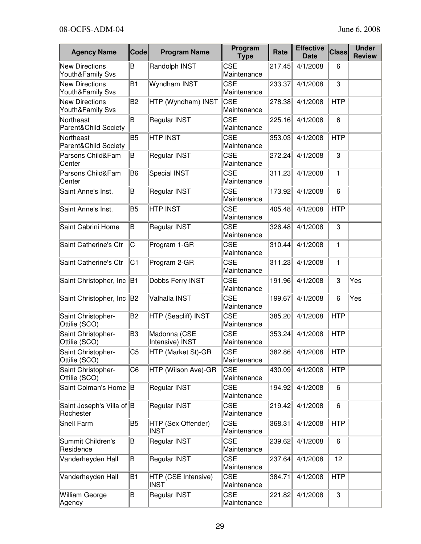| <b>Agency Name</b>                        | Code           | <b>Program Name</b>                | Program<br>Rate<br><b>Type</b> |        | <b>Effective</b><br><b>Date</b> | <b>Class</b> | <b>Under</b><br><b>Review</b> |
|-------------------------------------------|----------------|------------------------------------|--------------------------------|--------|---------------------------------|--------------|-------------------------------|
| <b>New Directions</b><br>Youth&Family Svs | B              | Randolph INST                      | <b>CSE</b><br>Maintenance      | 217.45 | 4/1/2008                        | 6            |                               |
| <b>New Directions</b><br>Youth&Family Svs | <b>B1</b>      | Wyndham INST                       | <b>CSE</b><br>Maintenance      | 233.37 | 4/1/2008                        | 3            |                               |
| <b>New Directions</b><br>Youth&Family Svs | B <sub>2</sub> | HTP (Wyndham) INST                 | <b>CSE</b><br>Maintenance      | 278.38 | 4/1/2008                        | <b>HTP</b>   |                               |
| Northeast<br>Parent&Child Society         | B              | Regular INST                       | <b>CSE</b><br>Maintenance      | 225.16 | 4/1/2008                        | 6            |                               |
| Northeast<br>Parent&Child Society         | B <sub>5</sub> | <b>HTP INST</b>                    | <b>CSE</b><br>Maintenance      | 353.03 | 4/1/2008                        | <b>HTP</b>   |                               |
| Parsons Child&Fam<br>Center               | B              | Regular INST                       | <b>CSE</b><br>Maintenance      | 272.24 | 4/1/2008                        | 3            |                               |
| Parsons Child&Fam<br>Center               | B <sub>6</sub> | <b>Special INST</b>                | <b>CSE</b><br>Maintenance      | 311.23 | 4/1/2008                        | 1            |                               |
| Saint Anne's Inst.                        | B              | Regular INST                       | <b>CSE</b><br>Maintenance      | 173.92 | 4/1/2008                        | $\,6$        |                               |
| Saint Anne's Inst.                        | B <sub>5</sub> | <b>HTP INST</b>                    | <b>CSE</b><br>Maintenance      | 405.48 | 4/1/2008                        | <b>HTP</b>   |                               |
| Saint Cabrini Home                        | B              | Regular INST                       | <b>CSE</b><br>Maintenance      | 326.48 | 4/1/2008                        | 3            |                               |
| Saint Catherine's Ctr                     | C              | Program 1-GR                       | <b>CSE</b><br>Maintenance      | 310.44 | 4/1/2008                        | $\mathbf{1}$ |                               |
| Saint Catherine's Ctr                     | C <sub>1</sub> | Program 2-GR                       | <b>CSE</b><br>Maintenance      | 311.23 | 4/1/2008                        | 1            |                               |
| Saint Christopher, Inc                    | B1             | Dobbs Ferry INST                   | <b>CSE</b><br>Maintenance      | 191.96 | 4/1/2008                        | 3            | Yes                           |
| Saint Christopher, Inc                    | B <sub>2</sub> | Valhalla INST                      | <b>CSE</b><br>Maintenance      | 199.67 | 4/1/2008                        | 6            | Yes                           |
| Saint Christopher-<br>Ottilie (SCO)       | <b>B2</b>      | HTP (Seacliff) INST                | <b>CSE</b><br>Maintenance      | 385.20 | 4/1/2008                        | <b>HTP</b>   |                               |
| Saint Christopher-<br>Ottilie (SCO)       | B <sub>3</sub> | Madonna (CSE<br>Intensive) INST    | <b>CSE</b><br>Maintenance      | 353.24 | 4/1/2008                        | <b>HTP</b>   |                               |
| Saint Christopher-<br>Ottilie (SCO)       | C <sub>5</sub> | HTP (Market St)-GR                 | CSE<br>Maintenance             |        | 382.86 4/1/2008                 | <b>HTP</b>   |                               |
| Saint Christopher-<br>Ottilie (SCO)       | C <sub>6</sub> | HTP (Wilson Ave)-GR                | <b>CSE</b><br>Maintenance      | 430.09 | 4/1/2008                        | <b>HTP</b>   |                               |
| Saint Colman's Home                       | B              | Regular INST                       | <b>CSE</b><br>Maintenance      | 194.92 | 4/1/2008                        | 6            |                               |
| Saint Joseph's Villa of B<br>Rochester    |                | Regular INST                       | <b>CSE</b><br>Maintenance      | 219.42 | 4/1/2008                        | 6            |                               |
| <b>Snell Farm</b>                         | B <sub>5</sub> | HTP (Sex Offender)<br><b>INST</b>  | <b>CSE</b><br>Maintenance      | 368.31 | 4/1/2008                        | <b>HTP</b>   |                               |
| Summit Children's<br>Residence            | B              | Regular INST                       | <b>CSE</b><br>Maintenance      | 239.62 | 4/1/2008                        | 6            |                               |
| Vanderheyden Hall                         | B              | Regular INST                       | <b>CSE</b><br>Maintenance      | 237.64 | 4/1/2008                        | 12           |                               |
| Vanderheyden Hall                         | B <sub>1</sub> | HTP (CSE Intensive)<br><b>INST</b> | <b>CSE</b><br>Maintenance      | 384.71 | 4/1/2008                        | <b>HTP</b>   |                               |
| <b>William George</b><br>Agency           | B              | Regular INST                       | <b>CSE</b><br>Maintenance      | 221.82 | 4/1/2008                        | 3            |                               |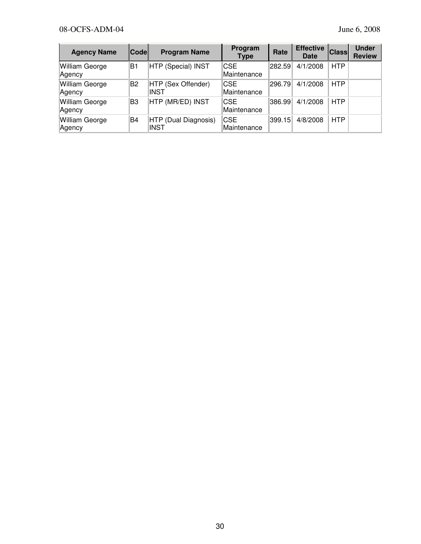| <b>Agency Name</b>              | <b>Code</b> | <b>Program Name</b>                 | Program<br><b>Type</b>     | Rate   | <b>Effective</b><br>Date | <b>Class</b> | <b>Under</b><br><b>Review</b> |
|---------------------------------|-------------|-------------------------------------|----------------------------|--------|--------------------------|--------------|-------------------------------|
| William George<br>Agency        | ΙB1         | HTP (Special) INST                  | ICSE<br>Maintenance        | 282.59 | 4/1/2008                 | <b>HTP</b>   |                               |
| <b>William George</b><br>Agency | B2          | HTP (Sex Offender)<br><b>INST</b>   | ICSE<br>Maintenance        | 296.79 | 4/1/2008                 | <b>HTP</b>   |                               |
| <b>William George</b><br>Agency | lB3         | HTP (MR/ED) INST                    | <b>ICSE</b><br>Maintenance | 386.99 | 4/1/2008                 | <b>HTP</b>   |                               |
| <b>William George</b><br>Agency | lB4         | HTP (Dual Diagnosis)<br><b>INST</b> | ICSE<br>Maintenance        | 399.15 | 4/8/2008                 | <b>HTP</b>   |                               |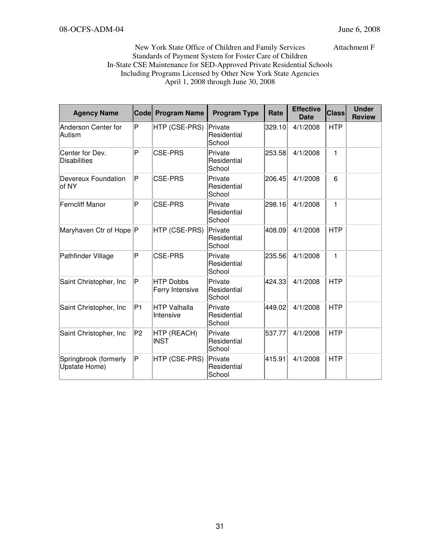New York State Office of Children and Family Services Attachment F Standards of Payment System for Foster Care of Children In-State CSE Maintenance for SED-Approved Private Residential Schools Including Programs Licensed by Other New York State Agencies April 1, 2008 through June 30, 2008

| <b>Agency Name</b>                     |                | Code Program Name                   | <b>Program Type</b>              | Rate   | <b>Effective</b><br><b>Date</b> | <b>Class</b> | <b>Under</b><br><b>Review</b> |
|----------------------------------------|----------------|-------------------------------------|----------------------------------|--------|---------------------------------|--------------|-------------------------------|
| Anderson Center for<br>Autism          | $\mathsf P$    | HTP (CSE-PRS)                       | Private<br>Residential<br>School | 329.10 | 4/1/2008                        | <b>HTP</b>   |                               |
| Center for Dev.<br><b>Disabilities</b> | P              | <b>CSE-PRS</b>                      | Private<br>Residential<br>School | 253.58 | 4/1/2008                        | 1            |                               |
| Devereux Foundation<br>of NY           | $\mathsf P$    | <b>CSE-PRS</b>                      | Private<br>Residential<br>School | 206.45 | 4/1/2008                        | 6            |                               |
| <b>Ferncliff Manor</b>                 | $\overline{P}$ | <b>CSE-PRS</b>                      | Private<br>Residential<br>School | 298.16 | 4/1/2008                        | 1            |                               |
| Maryhaven Ctr of Hope P                |                | HTP (CSE-PRS)                       | Private<br>Residential<br>School | 408.09 | 4/1/2008                        | <b>HTP</b>   |                               |
| Pathfinder Village                     | P              | <b>CSE-PRS</b>                      | Private<br>Residential<br>School | 235.56 | 4/1/2008                        | 1            |                               |
| Saint Christopher, Inc                 | $\mathsf P$    | <b>HTP Dobbs</b><br>Ferry Intensive | Private<br>Residential<br>School | 424.33 | 4/1/2008                        | <b>HTP</b>   |                               |
| Saint Christopher, Inc                 | P <sub>1</sub> | <b>HTP Valhalla</b><br>Intensive    | Private<br>Residential<br>School | 449.02 | 4/1/2008                        | <b>HTP</b>   |                               |
| Saint Christopher, Inc                 | P <sub>2</sub> | HTP (REACH)<br><b>INST</b>          | Private<br>Residential<br>School | 537.77 | 4/1/2008                        | <b>HTP</b>   |                               |
| Springbrook (formerly<br>Upstate Home) | $\mathsf P$    | HTP (CSE-PRS)                       | Private<br>Residential<br>School | 415.91 | 4/1/2008                        | <b>HTP</b>   |                               |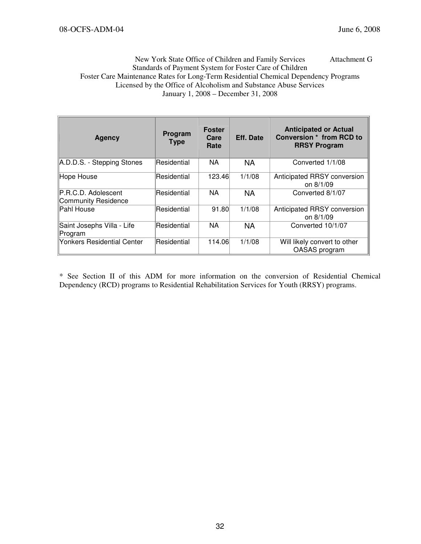### New York State Office of Children and Family Services Attachment G Standards of Payment System for Foster Care of Children Foster Care Maintenance Rates for Long-Term Residential Chemical Dependency Programs Licensed by the Office of Alcoholism and Substance Abuse Services January 1, 2008 – December 31, 2008

| <b>Agency</b>                              | Program<br><b>Type</b> | <b>Foster</b><br>Care<br>Rate | <b>Eff. Date</b> | <b>Anticipated or Actual</b><br><b>Conversion * from RCD to</b><br><b>RRSY Program</b> |
|--------------------------------------------|------------------------|-------------------------------|------------------|----------------------------------------------------------------------------------------|
| A.D.D.S. - Stepping Stones                 | Residential            | <b>NA</b>                     | <b>NA</b>        | Converted 1/1/08                                                                       |
| Hope House                                 | Residential            | 123.46                        | 1/1/08           | Anticipated RRSY conversion<br>on 8/1/09                                               |
| P.R.C.D. Adolescent<br>Community Residence | Residential            | <b>NA</b>                     | <b>NA</b>        | Converted 8/1/07                                                                       |
| Pahl House                                 | Residential            | 91.80                         | 1/1/08           | Anticipated RRSY conversion<br>on 8/1/09                                               |
| Saint Josephs Villa - Life<br>Program      | Residential            | <b>NA</b>                     | <b>NA</b>        | Converted 10/1/07                                                                      |
| <b>Yonkers Residential Center</b>          | Residential            | 114.06                        | 1/1/08           | Will likely convert to other<br>OASAS program                                          |

\* See Section II of this ADM for more information on the conversion of Residential Chemical Dependency (RCD) programs to Residential Rehabilitation Services for Youth (RRSY) programs.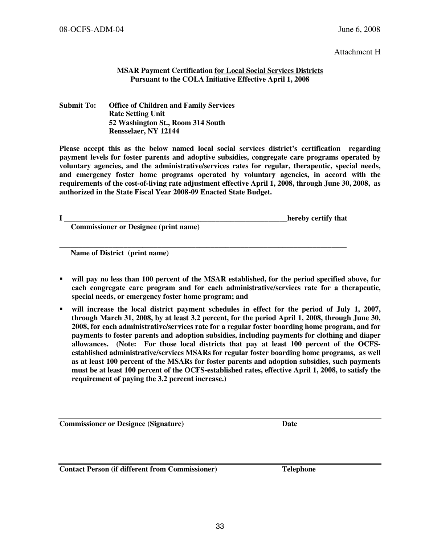Attachment H

### MSAR Payment Certification for Local Social Services Districts Pursuant to the COLA Initiative Effective April 1, 2008

### Submit To: Office of Children and Family Services Rate Setting Unit 52 Washington St., Room 314 South Rensselaer, NY 12144

Please accept this as the below named local social services district's certification regarding payment levels for foster parents and adoptive subsidies, congregate care programs operated by voluntary agencies, and the administrative/services rates for regular, therapeutic, special needs, and emergency foster home programs operated by voluntary agencies, in accord with the requirements of the cost-of-living rate adjustment effective April 1, 2008, through June 30, 2008, as authorized in the State Fiscal Year 2008-09 Enacted State Budget.

I \_\_\_\_\_\_\_\_\_\_\_\_\_\_\_\_\_\_\_\_\_\_\_\_\_\_\_\_\_\_\_\_\_\_\_\_\_\_\_\_\_\_\_\_\_\_\_\_\_\_\_\_\_\_\_\_\_\_\_hereby certify that

Commissioner or Designee (print name)

Name of District (print name)

 will pay no less than 100 percent of the MSAR established, for the period specified above, for each congregate care program and for each administrative/services rate for a therapeutic, special needs, or emergency foster home program; and

\_\_\_\_\_\_\_\_\_\_\_\_\_\_\_\_\_\_\_\_\_\_\_\_\_\_\_\_\_\_\_\_\_\_\_\_\_\_\_\_\_\_\_\_\_\_\_\_\_\_\_\_\_\_\_\_\_\_\_\_\_\_\_\_\_\_\_\_\_\_\_\_\_\_\_\_

 will increase the local district payment schedules in effect for the period of July 1, 2007, through March 31, 2008, by at least 3.2 percent, for the period April 1, 2008, through June 30, 2008, for each administrative/services rate for a regular foster boarding home program, and for payments to foster parents and adoption subsidies, including payments for clothing and diaper allowances. (Note: For those local districts that pay at least 100 percent of the OCFSestablished administrative/services MSARs for regular foster boarding home programs, as well as at least 100 percent of the MSARs for foster parents and adoption subsidies, such payments must be at least 100 percent of the OCFS-established rates, effective April 1, 2008, to satisfy the requirement of paying the 3.2 percent increase.)

Commissioner or Designee (Signature) Date

Contact Person (if different from Commissioner) Telephone